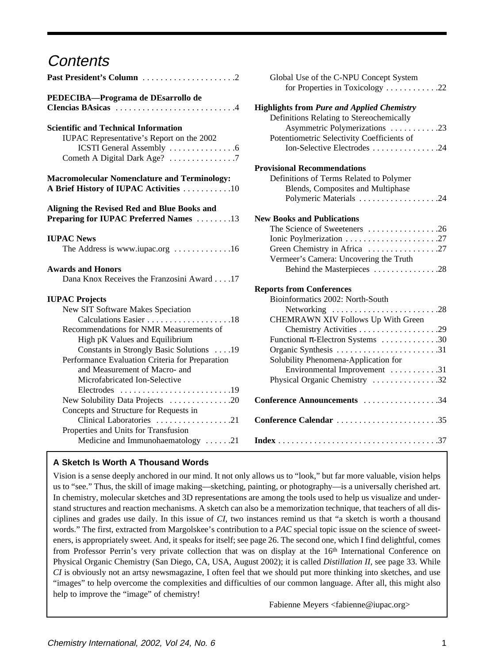## Contents

|                                                                                            | Global Use of the C-NPU Concept System<br>for Properties in Toxicology                        |
|--------------------------------------------------------------------------------------------|-----------------------------------------------------------------------------------------------|
| PEDECIBA-Programa de DEsarrollo de                                                         |                                                                                               |
|                                                                                            | <b>Highlights from Pure and Applied Chemistry</b><br>Definitions Relating to Stereochemically |
| <b>Scientific and Technical Information</b>                                                | Asymmetric Polymerizations                                                                    |
| IUPAC Representative's Report on the 2002                                                  | Potentiometric Selectivity Coefficients of                                                    |
|                                                                                            | Ion-Selective Electrodes                                                                      |
|                                                                                            |                                                                                               |
|                                                                                            | <b>Provisional Recommendations</b>                                                            |
| <b>Macromolecular Nomenclature and Terminology:</b>                                        | Definitions of Terms Related to Polymer                                                       |
| A Brief History of IUPAC Activities 10                                                     | Blends, Composites and Multiphase<br>Polymeric Materials                                      |
| Aligning the Revised Red and Blue Books and                                                |                                                                                               |
| Preparing for IUPAC Preferred Names 13                                                     | <b>New Books and Publications</b>                                                             |
|                                                                                            | The Science of Sweeteners                                                                     |
| <b>IUPAC News</b>                                                                          | Ionic Poylmerization                                                                          |
| The Address is www.iupac.org $\dots \dots \dots \dots \dots 16$                            | Green Chemistry in Africa                                                                     |
|                                                                                            | Vermeer's Camera: Uncovering the Truth                                                        |
| <b>Awards and Honors</b>                                                                   | Behind the Masterpieces                                                                       |
| Dana Knox Receives the Franzosini Award 17                                                 |                                                                                               |
|                                                                                            | <b>Reports from Conferences</b>                                                               |
| <b>IUPAC Projects</b>                                                                      | Bioinformatics 2002: North-South                                                              |
| New SIT Software Makes Speciation                                                          | Networking                                                                                    |
| Recommendations for NMR Measurements of                                                    | CHEMRAWN XIV Follows Up With Gree<br>Chemistry Activities                                     |
| High pK Values and Equilibrium                                                             | Functional $\pi$ -Electron Systems                                                            |
| Constants in Strongly Basic Solutions 19                                                   | Organic Synthesis                                                                             |
| Performance Evaluation Criteria for Preparation                                            | Solubility Phenomena-Application for                                                          |
| and Measurement of Macro- and                                                              | Environmental Improvement                                                                     |
| Microfabricated Ion-Selective                                                              | Physical Organic Chemistry                                                                    |
| Electrodes $\dots \dots \dots \dots \dots \dots \dots \dots \dots \dots \dots \dots \dots$ |                                                                                               |
| New Solubility Data Projects 20                                                            | Conference Announcements                                                                      |
| Concepts and Structure for Requests in                                                     |                                                                                               |
| Clinical Laboratories 21                                                                   | Conference Calendar                                                                           |
| Properties and Units for Transfusion                                                       |                                                                                               |
| Medicine and Immunohaematology 21                                                          |                                                                                               |

## for Properties in Toxicology . . . . . . . . . . . .22 **Highlights from** *Pure and Applied Chemistry* Definitions Relating to Stereochemically Asymmetric Polymerizations . . . . . . . . . . .23 Potentiometric Selectivity Coefficients of Ion-Selective Electrodes . . . . . . . . . . . . . . .24 **Provisional Recommendations** Definitions of Terms Related to Polymer Blends, Composites and Multiphase Polymeric Materials . . . . . . . . . . . . . . . . . . 24 **New Books and Publications** The Science of Sweeteners ...............26 Ionic Poylmerization . . . . . . . . . . . . . . . . . . . . .27 Green Chemistry in Africa ...................27 Vermeer's Camera: Uncovering the Truth Behind the Masterpieces . . . . . . . . . . . . . . .28 **Reports from Conferences** Bioinformatics 2002: North-South Networking . . . . . . . . . . . . . . . . . . . . . . . .28 CHEMRAWN XIV Follows Up With Green Chemistry Activities . . . . . . . . . . . . . . . . . .29 Functional  $\pi$ -Electron Systems  $\dots \dots \dots \dots \dots$ 30 Organic Synthesis . . . . . . . . . . . . . . . . . . . . . . .31 Solubility Phenomena-Application for Environmental Improvement . . . . . . . . . . .31 Physical Organic Chemistry . . . . . . . . . . . . . . . 32 **Conference Announcements** . . . . . . . . . . . . . . . . .34 **Conference Calendar** . . . . . . . . . . . . . . . . . . . . . . .35 **Index** . . . . . . . . . . . . . . . . . . . . . . . . . . . . . . . . . . . .37

#### **A Sketch Is Worth A Thousand Words**

Vision is a sense deeply anchored in our mind. It not only allows us to "look," but far more valuable, vision helps us to "see." Thus, the skill of image making—sketching, painting, or photography—is a universally cherished art. In chemistry, molecular sketches and 3D representations are among the tools used to help us visualize and understand structures and reaction mechanisms. A sketch can also be a memorization technique, that teachers of all disciplines and grades use daily. In this issue of *CI*, two instances remind us that "a sketch is worth a thousand words." The first, extracted from Margolskee's contribution to a *PAC* special topic issue on the science of sweeteners, is appropriately sweet. And, it speaks for itself; see page 26. The second one, which I find delightful, comes from Professor Perrin's very private collection that was on display at the 16th International Conference on Physical Organic Chemistry (San Diego, CA, USA, August 2002); it is called *Distillation II*, see page 33. While *CI* is obviously not an artsy newsmagazine, I often feel that we should put more thinking into sketches, and use "images" to help overcome the complexities and difficulties of our common language. After all, this might also help to improve the "image" of chemistry!

Fabienne Meyers <fabienne@iupac.org>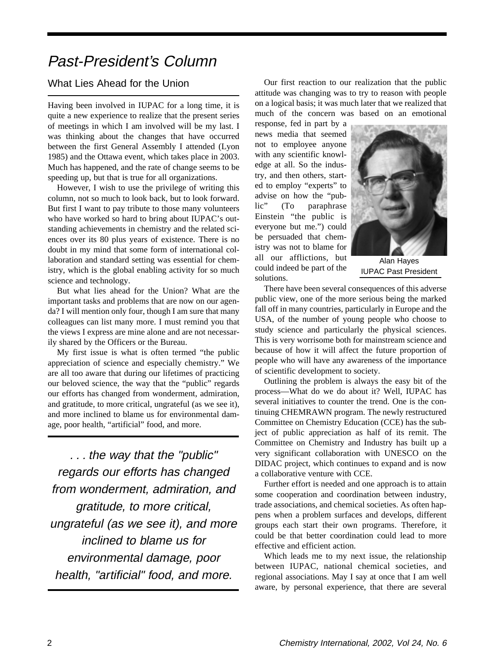## Past-President's Column

### What Lies Ahead for the Union

Having been involved in IUPAC for a long time, it is quite a new experience to realize that the present series of meetings in which I am involved will be my last. I was thinking about the changes that have occurred between the first General Assembly I attended (Lyon 1985) and the Ottawa event, which takes place in 2003. Much has happened, and the rate of change seems to be speeding up, but that is true for all organizations.

However, I wish to use the privilege of writing this column, not so much to look back, but to look forward. But first I want to pay tribute to those many volunteers who have worked so hard to bring about IUPAC's outstanding achievements in chemistry and the related sciences over its 80 plus years of existence. There is no doubt in my mind that some form of international collaboration and standard setting was essential for chemistry, which is the global enabling activity for so much science and technology.

But what lies ahead for the Union? What are the important tasks and problems that are now on our agenda? I will mention only four, though I am sure that many colleagues can list many more. I must remind you that the views I express are mine alone and are not necessarily shared by the Officers or the Bureau.

My first issue is what is often termed "the public appreciation of science and especially chemistry." We are all too aware that during our lifetimes of practicing our beloved science, the way that the "public" regards our efforts has changed from wonderment, admiration, and gratitude, to more critical, ungrateful (as we see it), and more inclined to blame us for environmental damage, poor health, "artificial" food, and more.

. . . the way that the "public" regards our efforts has changed from wonderment, admiration, and gratitude, to more critical, ungrateful (as we see it), and more inclined to blame us for environmental damage, poor health, "artificial" food, and more.

Our first reaction to our realization that the public attitude was changing was to try to reason with people on a logical basis; it was much later that we realized that much of the concern was based on an emotional

response, fed in part by a news media that seemed not to employee anyone with any scientific knowledge at all. So the industry, and then others, started to employ "experts" to advise on how the "public" (To paraphrase Einstein "the public is everyone but me.") could be persuaded that chemistry was not to blame for all our afflictions, but could indeed be part of the solutions.



Alan Hayes IUPAC Past President

There have been several consequences of this adverse public view, one of the more serious being the marked fall off in many countries, particularly in Europe and the USA, of the number of young people who choose to study science and particularly the physical sciences. This is very worrisome both for mainstream science and because of how it will affect the future proportion of people who will have any awareness of the importance of scientific development to society.

Outlining the problem is always the easy bit of the process—What do we do about it? Well, IUPAC has several initiatives to counter the trend. One is the continuing CHEMRAWN program. The newly restructured Committee on Chemistry Education (CCE) has the subject of public appreciation as half of its remit. The Committee on Chemistry and Industry has built up a very significant collaboration with UNESCO on the DIDAC project, which continues to expand and is now a collaborative venture with CCE.

Further effort is needed and one approach is to attain some cooperation and coordination between industry, trade associations, and chemical societies. As often happens when a problem surfaces and develops, different groups each start their own programs. Therefore, it could be that better coordination could lead to more effective and efficient action.

Which leads me to my next issue, the relationship between IUPAC, national chemical societies, and regional associations. May I say at once that I am well aware, by personal experience, that there are several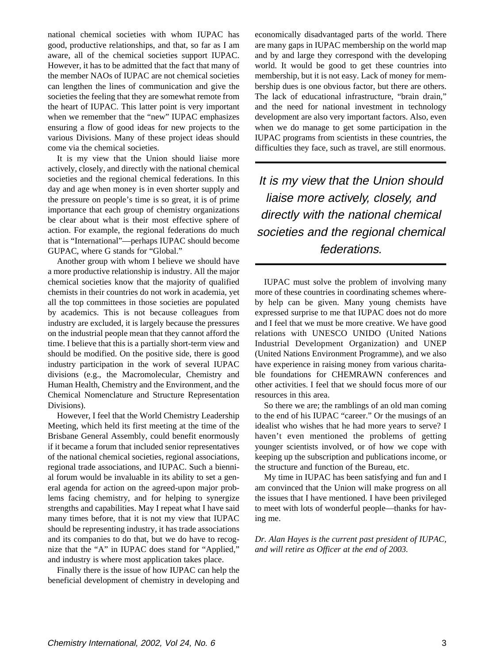national chemical societies with whom IUPAC has good, productive relationships, and that, so far as I am aware, all of the chemical societies support IUPAC. However, it has to be admitted that the fact that many of the member NAOs of IUPAC are not chemical societies can lengthen the lines of communication and give the societies the feeling that they are somewhat remote from the heart of IUPAC. This latter point is very important when we remember that the "new" IUPAC emphasizes ensuring a flow of good ideas for new projects to the various Divisions. Many of these project ideas should come via the chemical societies.

It is my view that the Union should liaise more actively, closely, and directly with the national chemical societies and the regional chemical federations. In this day and age when money is in even shorter supply and the pressure on people's time is so great, it is of prime importance that each group of chemistry organizations be clear about what is their most effective sphere of action. For example, the regional federations do much that is "International"—perhaps IUPAC should become GUPAC, where G stands for "Global."

Another group with whom I believe we should have a more productive relationship is industry. All the major chemical societies know that the majority of qualified chemists in their countries do not work in academia, yet all the top committees in those societies are populated by academics. This is not because colleagues from industry are excluded, it is largely because the pressures on the industrial people mean that they cannot afford the time. I believe that this is a partially short-term view and should be modified. On the positive side, there is good industry participation in the work of several IUPAC divisions (e.g., the Macromolecular, Chemistry and Human Health, Chemistry and the Environment, and the Chemical Nomenclature and Structure Representation Divisions).

However, I feel that the World Chemistry Leadership Meeting, which held its first meeting at the time of the Brisbane General Assembly, could benefit enormously if it became a forum that included senior representatives of the national chemical societies, regional associations, regional trade associations, and IUPAC. Such a biennial forum would be invaluable in its ability to set a general agenda for action on the agreed-upon major problems facing chemistry, and for helping to synergize strengths and capabilities. May I repeat what I have said many times before, that it is not my view that IUPAC should be representing industry, it has trade associations and its companies to do that, but we do have to recognize that the "A" in IUPAC does stand for "Applied," and industry is where most application takes place.

Finally there is the issue of how IUPAC can help the beneficial development of chemistry in developing and economically disadvantaged parts of the world. There are many gaps in IUPAC membership on the world map and by and large they correspond with the developing world. It would be good to get these countries into membership, but it is not easy. Lack of money for membership dues is one obvious factor, but there are others. The lack of educational infrastructure, "brain drain," and the need for national investment in technology development are also very important factors. Also, even when we do manage to get some participation in the IUPAC programs from scientists in these countries, the difficulties they face, such as travel, are still enormous.

It is my view that the Union should liaise more actively, closely, and directly with the national chemical societies and the regional chemical federations.

IUPAC must solve the problem of involving many more of these countries in coordinating schemes whereby help can be given. Many young chemists have expressed surprise to me that IUPAC does not do more and I feel that we must be more creative. We have good relations with UNESCO UNIDO (United Nations Industrial Development Organization) and UNEP (United Nations Environment Programme), and we also have experience in raising money from various charitable foundations for CHEMRAWN conferences and other activities. I feel that we should focus more of our resources in this area.

So there we are; the ramblings of an old man coming to the end of his IUPAC "career." Or the musings of an idealist who wishes that he had more years to serve? I haven't even mentioned the problems of getting younger scientists involved, or of how we cope with keeping up the subscription and publications income, or the structure and function of the Bureau, etc.

My time in IUPAC has been satisfying and fun and I am convinced that the Union will make progress on all the issues that I have mentioned. I have been privileged to meet with lots of wonderful people—thanks for having me.

*Dr. Alan Hayes is the current past president of IUPAC, and will retire as Officer at the end of 2003.*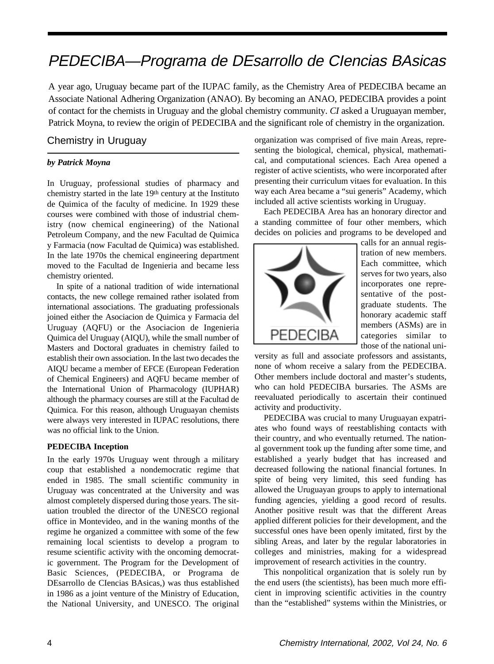## PEDECIBA—Programa de DEsarrollo de CIencias BAsicas

A year ago, Uruguay became part of the IUPAC family, as the Chemistry Area of PEDECIBA became an Associate National Adhering Organization (ANAO). By becoming an ANAO, PEDECIBA provides a point of contact for the chemists in Uruguay and the global chemistry community. *CI* asked a Uruguayan member, Patrick Moyna, to review the origin of PEDECIBA and the significant role of chemistry in the organization.

#### Chemistry in Uruguay

#### *by Patrick Moyna*

In Uruguay, professional studies of pharmacy and chemistry started in the late 19th century at the Instituto de Quimica of the faculty of medicine. In 1929 these courses were combined with those of industrial chemistry (now chemical engineering) of the National Petroleum Company, and the new Facultad de Quimica y Farmacia (now Facultad de Quimica) was established. In the late 1970s the chemical engineering department moved to the Facultad de Ingenieria and became less chemistry oriented.

In spite of a national tradition of wide international contacts, the new college remained rather isolated from international associations. The graduating professionals joined either the Asociacion de Quimica y Farmacia del Uruguay (AQFU) or the Asociacion de Ingenieria Quimica del Uruguay (AIQU), while the small number of Masters and Doctoral graduates in chemistry failed to establish their own association. In the last two decades the AIQU became a member of EFCE (European Federation of Chemical Engineers) and AQFU became member of the International Union of Pharmacology (IUPHAR) although the pharmacy courses are still at the Facultad de Quimica. For this reason, although Uruguayan chemists were always very interested in IUPAC resolutions, there was no official link to the Union.

#### **PEDECIBA Inception**

In the early 1970s Uruguay went through a military coup that established a nondemocratic regime that ended in 1985. The small scientific community in Uruguay was concentrated at the University and was almost completely dispersed during those years. The situation troubled the director of the UNESCO regional office in Montevideo, and in the waning months of the regime he organized a committee with some of the few remaining local scientists to develop a program to resume scientific activity with the oncoming democratic government. The Program for the Development of Basic Sciences, (PEDECIBA, or Programa de DEsarrollo de CIencias BAsicas,) was thus established in 1986 as a joint venture of the Ministry of Education, the National University, and UNESCO. The original organization was comprised of five main Areas, representing the biological, chemical, physical, mathematical, and computational sciences. Each Area opened a register of active scientists, who were incorporated after presenting their curriculum vitaes for evaluation. In this way each Area became a "sui generis" Academy, which included all active scientists working in Uruguay.

Each PEDECIBA Area has an honorary director and a standing committee of four other members, which decides on policies and programs to be developed and



calls for an annual registration of new members. Each committee, which serves for two years, also incorporates one representative of the postgraduate students. The honorary academic staff members (ASMs) are in categories similar to those of the national uni-

versity as full and associate professors and assistants, none of whom receive a salary from the PEDECIBA. Other members include doctoral and master's students, who can hold PEDECIBA bursaries. The ASMs are reevaluated periodically to ascertain their continued activity and productivity.

PEDECIBA was crucial to many Uruguayan expatriates who found ways of reestablishing contacts with their country, and who eventually returned. The national government took up the funding after some time, and established a yearly budget that has increased and decreased following the national financial fortunes. In spite of being very limited, this seed funding has allowed the Uruguayan groups to apply to international funding agencies, yielding a good record of results. Another positive result was that the different Areas applied different policies for their development, and the successful ones have been openly imitated, first by the sibling Areas, and later by the regular laboratories in colleges and ministries, making for a widespread improvement of research activities in the country.

This nonpolitical organization that is solely run by the end users (the scientists), has been much more efficient in improving scientific activities in the country than the "established" systems within the Ministries, or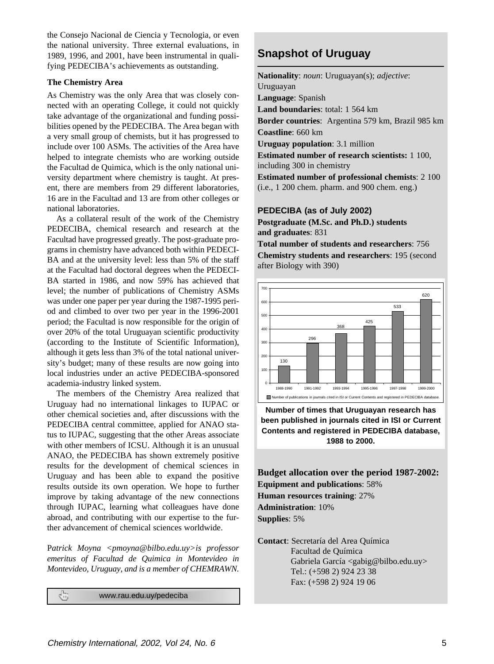the Consejo Nacional de Ciencia y Tecnologia, or even the national university. Three external evaluations, in 1989, 1996, and 2001, have been instrumental in qualifying PEDECIBA's achievements as outstanding.

#### **The Chemistry Area**

As Chemistry was the only Area that was closely connected with an operating College, it could not quickly take advantage of the organizational and funding possibilities opened by the PEDECIBA. The Area began with a very small group of chemists, but it has progressed to include over 100 ASMs. The activities of the Area have helped to integrate chemists who are working outside the Facultad de Quimica, which is the only national university department where chemistry is taught. At present, there are members from 29 different laboratories, 16 are in the Facultad and 13 are from other colleges or national laboratories.

As a collateral result of the work of the Chemistry PEDECIBA, chemical research and research at the Facultad have progressed greatly. The post-graduate programs in chemistry have advanced both within PEDECI-BA and at the university level: less than 5% of the staff at the Facultad had doctoral degrees when the PEDECI-BA started in 1986, and now 59% has achieved that level; the number of publications of Chemistry ASMs was under one paper per year during the 1987-1995 period and climbed to over two per year in the 1996-2001 period; the Facultad is now responsible for the origin of over 20% of the total Uruguayan scientific productivity (according to the Institute of Scientific Information), although it gets less than 3% of the total national university's budget; many of these results are now going into local industries under an active PEDECIBA-sponsored academia-industry linked system.

The members of the Chemistry Area realized that Uruguay had no international linkages to IUPAC or other chemical societies and, after discussions with the PEDECIBA central committee, applied for ANAO status to IUPAC, suggesting that the other Areas associate with other members of ICSU. Although it is an unusual ANAO, the PEDECIBA has shown extremely positive results for the development of chemical sciences in Uruguay and has been able to expand the positive results outside its own operation. We hope to further improve by taking advantage of the new connections through IUPAC, learning what colleagues have done abroad, and contributing with our expertise to the further advancement of chemical sciences worldwide.

P*atrick Moyna <pmoyna@bilbo.edu.uy>is professor emeritus of Facultad de Quimica in Montevideo in Montevideo, Uruguay, and is a member of CHEMRAWN.*

Ġ www.rau.edu.uy/pedeciba

## **Snapshot of Uruguay**

**Nationality**: *noun*: Uruguayan(s); *adjective*: Uruguayan **Language**: Spanish **Land boundaries**: total: 1 564 km **Border countries**: Argentina 579 km, Brazil 985 km **Coastline**: 660 km **Uruguay population**: 3.1 million **Estimated number of research scientists:** 1 100, including 300 in chemistry **Estimated number of professional chemists**: 2 100 (i.e., 1 200 chem. pharm. and 900 chem. eng.)

#### **PEDECIBA (as of July 2002)**

**Postgraduate (M.Sc. and Ph.D.) students and graduates**: 831

**Total number of students and researchers**: 756 **Chemistry students and researchers**: 195 (second after Biology with 390)



**Number of times that Uruguayan research has been published in journals cited in ISI or Current Contents and registered in PEDECIBA database, 1988 to 2000.**

**Budget allocation over the period 1987-2002: Equipment and publications**: 58% **Human resources training**: 27% **Administration**: 10% **Supplies**: 5%

**Contact**: Secretaría del Area Química Facultad de Química Gabriela García <gabig@bilbo.edu.uy> Tel.: (+598 2) 924 23 38 Fax: (+598 2) 924 19 06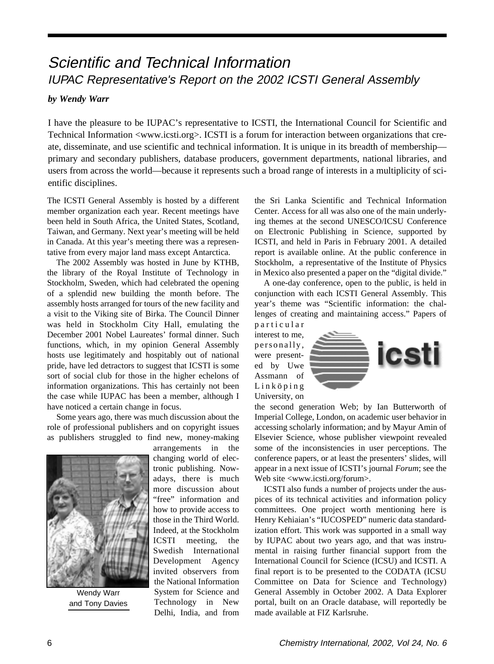# Scientific and Technical Information IUPAC Representative's Report on the 2002 ICSTI General Assembly

*by Wendy Warr*

I have the pleasure to be IUPAC's representative to ICSTI, the International Council for Scientific and Technical Information <www.icsti.org>. ICSTI is a forum for interaction between organizations that create, disseminate, and use scientific and technical information. It is unique in its breadth of membership primary and secondary publishers, database producers, government departments, national libraries, and users from across the world—because it represents such a broad range of interests in a multiplicity of scientific disciplines.

The ICSTI General Assembly is hosted by a different member organization each year. Recent meetings have been held in South Africa, the United States, Scotland, Taiwan, and Germany. Next year's meeting will be held in Canada. At this year's meeting there was a representative from every major land mass except Antarctica.

The 2002 Assembly was hosted in June by KTHB, the library of the Royal Institute of Technology in Stockholm, Sweden, which had celebrated the opening of a splendid new building the month before. The assembly hosts arranged for tours of the new facility and a visit to the Viking site of Birka. The Council Dinner was held in Stockholm City Hall, emulating the December 2001 Nobel Laureates' formal dinner. Such functions, which, in my opinion General Assembly hosts use legitimately and hospitably out of national pride, have led detractors to suggest that ICSTI is some sort of social club for those in the higher echelons of information organizations. This has certainly not been the case while IUPAC has been a member, although I have noticed a certain change in focus.

Some years ago, there was much discussion about the role of professional publishers and on copyright issues as publishers struggled to find new, money-making



Wendy Warr and Tony Davies

arrangements in the changing world of electronic publishing. Nowadays, there is much more discussion about "free" information and how to provide access to those in the Third World. Indeed, at the Stockholm ICSTI meeting, the Swedish International Development Agency invited observers from the National Information System for Science and Technology in New Delhi, India, and from

the Sri Lanka Scientific and Technical Information Center. Access for all was also one of the main underlying themes at the second UNESCO/ICSU Conference on Electronic Publishing in Science, supported by ICSTI, and held in Paris in February 2001. A detailed report is available online. At the public conference in Stockholm, a representative of the Institute of Physics in Mexico also presented a paper on the "digital divide."

A one-day conference, open to the public, is held in conjunction with each ICSTI General Assembly. This year's theme was "Scientific information: the challenges of creating and maintaining access." Papers of particular

interest to me, personally, were presented by Uwe Assmann of Linköping University, on



the second generation Web; by Ian Butterworth of Imperial College, London, on academic user behavior in accessing scholarly information; and by Mayur Amin of Elsevier Science, whose publisher viewpoint revealed some of the inconsistencies in user perceptions. The conference papers, or at least the presenters' slides, will appear in a next issue of ICSTI's journal *Forum*; see the Web site <www.icsti.org/forum>.

ICSTI also funds a number of projects under the auspices of its technical activities and information policy committees. One project worth mentioning here is Henry Kehiaian's "IUCOSPED" numeric data standardization effort. This work was supported in a small way by IUPAC about two years ago, and that was instrumental in raising further financial support from the International Council for Science (ICSU) and ICSTI. A final report is to be presented to the CODATA (ICSU Committee on Data for Science and Technology) General Assembly in October 2002. A Data Explorer portal, built on an Oracle database, will reportedly be made available at FIZ Karlsruhe.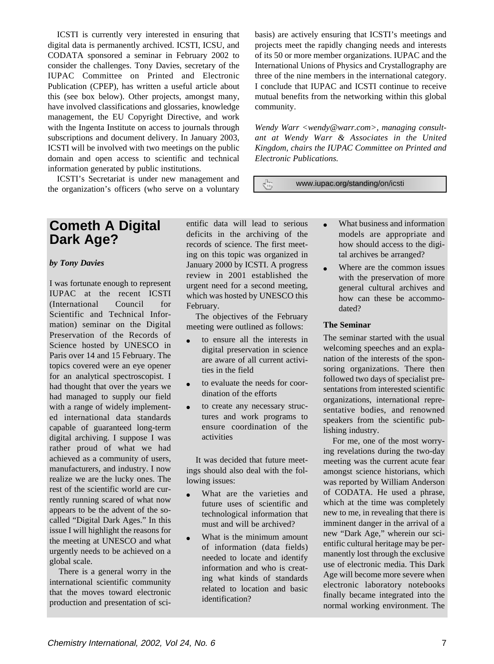ICSTI is currently very interested in ensuring that digital data is permanently archived. ICSTI, ICSU, and CODATA sponsored a seminar in February 2002 to consider the challenges. Tony Davies, secretary of the IUPAC Committee on Printed and Electronic Publication (CPEP), has written a useful article about this (see box below). Other projects, amongst many, have involved classifications and glossaries, knowledge management, the EU Copyright Directive, and work with the Ingenta Institute on access to journals through subscriptions and document delivery. In January 2003, ICSTI will be involved with two meetings on the public domain and open access to scientific and technical information generated by public institutions.

ICSTI's Secretariat is under new management and the organization's officers (who serve on a voluntary basis) are actively ensuring that ICSTI's meetings and projects meet the rapidly changing needs and interests of its 50 or more member organizations. IUPAC and the International Unions of Physics and Crystallography are three of the nine members in the international category. I conclude that IUPAC and ICSTI continue to receive mutual benefits from the networking within this global community.

*Wendy Warr <wendy@warr.com>, managing consultant at Wendy Warr & Associates in the United Kingdom, chairs the IUPAC Committee on Printed and Electronic Publications.*

 $\overline{\Phi}$ www.iupac.org/standing/on/icsti

## **Cometh A Digital Dark Age?**

#### *by Tony Davies*

I was fortunate enough to represent IUPAC at the recent ICSTI (International Council for Scientific and Technical Information) seminar on the Digital Preservation of the Records of Science hosted by UNESCO in Paris over 14 and 15 February. The topics covered were an eye opener for an analytical spectroscopist. I had thought that over the years we had managed to supply our field with a range of widely implemented international data standards capable of guaranteed long-term digital archiving. I suppose I was rather proud of what we had achieved as a community of users, manufacturers, and industry. I now realize we are the lucky ones. The rest of the scientific world are currently running scared of what now appears to be the advent of the socalled "Digital Dark Ages." In this issue I will highlight the reasons for the meeting at UNESCO and what urgently needs to be achieved on a global scale.

There is a general worry in the international scientific community that the moves toward electronic production and presentation of scientific data will lead to serious deficits in the archiving of the records of science. The first meeting on this topic was organized in January 2000 by ICSTI. A progress review in 2001 established the urgent need for a second meeting, which was hosted by UNESCO this February.

The objectives of the February meeting were outlined as follows:

- to ensure all the interests in digital preservation in science are aware of all current activities in the field
- to evaluate the needs for coordination of the efforts
- to create any necessary structures and work programs to ensure coordination of the activities

It was decided that future meetings should also deal with the following issues:

- What are the varieties and future uses of scientific and technological information that must and will be archived?
- What is the minimum amount of information (data fields) needed to locate and identify information and who is creating what kinds of standards related to location and basic identification?
- What business and information models are appropriate and how should access to the digital archives be arranged?
- Where are the common issues with the preservation of more general cultural archives and how can these be accommodated?

#### **The Seminar**

The seminar started with the usual welcoming speeches and an explanation of the interests of the sponsoring organizations. There then followed two days of specialist presentations from interested scientific organizations, international representative bodies, and renowned speakers from the scientific publishing industry.

For me, one of the most worrying revelations during the two-day meeting was the current acute fear amongst science historians, which was reported by William Anderson of CODATA. He used a phrase, which at the time was completely new to me, in revealing that there is imminent danger in the arrival of a new "Dark Age," wherein our scientific cultural heritage may be permanently lost through the exclusive use of electronic media. This Dark Age will become more severe when electronic laboratory notebooks finally became integrated into the normal working environment. The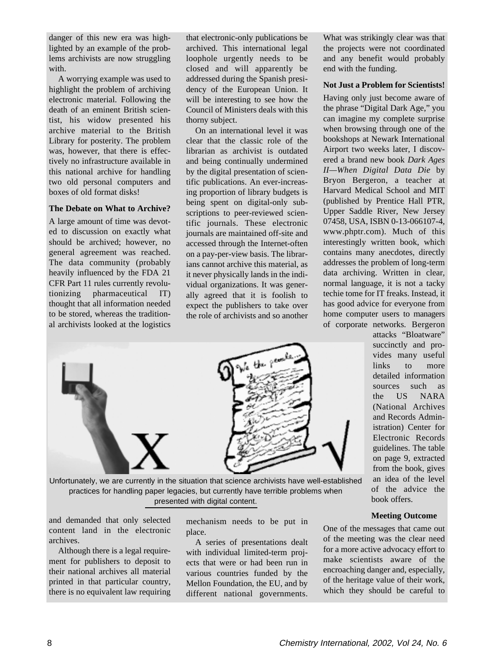danger of this new era was highlighted by an example of the problems archivists are now struggling with.

A worrying example was used to highlight the problem of archiving electronic material. Following the death of an eminent British scientist, his widow presented his archive material to the British Library for posterity. The problem was, however, that there is effectively no infrastructure available in this national archive for handling two old personal computers and boxes of old format disks!

#### **The Debate on What to Archive?**

A large amount of time was devoted to discussion on exactly what should be archived; however, no general agreement was reached. The data community (probably heavily influenced by the FDA 21 CFR Part 11 rules currently revolutionizing pharmaceutical IT) thought that all information needed to be stored, whereas the traditional archivists looked at the logistics

that electronic-only publications be archived. This international legal loophole urgently needs to be closed and will apparently be addressed during the Spanish presidency of the European Union. It will be interesting to see how the Council of Ministers deals with this thorny subject.

On an international level it was clear that the classic role of the librarian as archivist is outdated and being continually undermined by the digital presentation of scientific publications. An ever-increasing proportion of library budgets is being spent on digital-only subscriptions to peer-reviewed scientific journals. These electronic journals are maintained off-site and accessed through the Internet-often on a pay-per-view basis. The librarians cannot archive this material, as it never physically lands in the individual organizations. It was generally agreed that it is foolish to expect the publishers to take over the role of archivists and so another

Unfortunately, we are currently in the situation that science archivists have well-established practices for handling paper legacies, but currently have terrible problems when presented with digital content.

and demanded that only selected content land in the electronic archives.

Although there is a legal requirement for publishers to deposit to their national archives all material printed in that particular country, there is no equivalent law requiring mechanism needs to be put in place.

A series of presentations dealt with individual limited-term projects that were or had been run in various countries funded by the Mellon Foundation, the EU, and by different national governments. What was strikingly clear was that the projects were not coordinated and any benefit would probably end with the funding.

#### **Not Just a Problem for Scientists!**

Having only just become aware of the phrase "Digital Dark Age," you can imagine my complete surprise when browsing through one of the bookshops at Newark International Airport two weeks later, I discovered a brand new book *Dark Ages II—When Digital Data Die* by Bryon Bergeron, a teacher at Harvard Medical School and MIT (published by Prentice Hall PTR, Upper Saddle River, New Jersey 07458, USA, ISBN 0-13-066107-4, www.phptr.com). Much of this interestingly written book, which contains many anecdotes, directly addresses the problem of long-term data archiving. Written in clear, normal language, it is not a tacky techie tome for IT freaks. Instead, it has good advice for everyone from home computer users to managers of corporate networks. Bergeron

> attacks "Bloatware" succinctly and provides many useful links to more detailed information sources such as the US NARA (National Archives and Records Administration) Center for Electronic Records guidelines. The table on page 9, extracted from the book, gives an idea of the level of the advice the book offers.

#### **Meeting Outcome**

One of the messages that came out of the meeting was the clear need for a more active advocacy effort to make scientists aware of the encroaching danger and, especially, of the heritage value of their work, which they should be careful to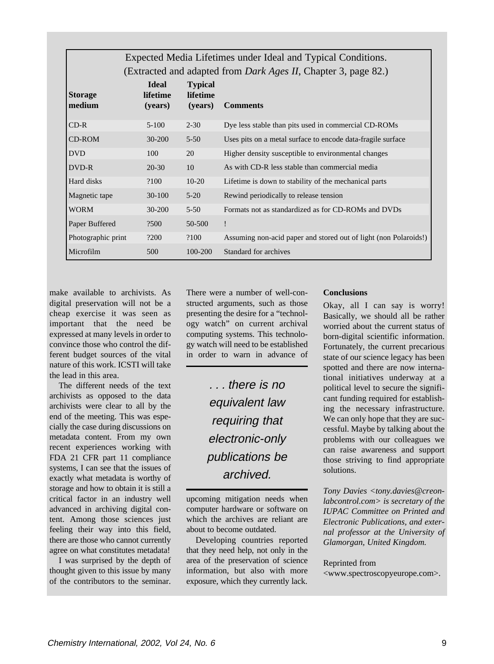| Expected Media Lifetimes under Ideal and Typical Conditions.           |                                     |                                       |                                                                  |  |  |  |
|------------------------------------------------------------------------|-------------------------------------|---------------------------------------|------------------------------------------------------------------|--|--|--|
| (Extracted and adapted from <i>Dark Ages II</i> , Chapter 3, page 82.) |                                     |                                       |                                                                  |  |  |  |
| <b>Storage</b><br>medium                                               | <b>Ideal</b><br>lifetime<br>(years) | <b>Typical</b><br>lifetime<br>(years) | <b>Comments</b>                                                  |  |  |  |
| $CD-R$                                                                 | $5 - 100$                           | $2 - 30$                              | Dye less stable than pits used in commercial CD-ROMs             |  |  |  |
| <b>CD-ROM</b>                                                          | 30-200                              | $5 - 50$                              | Uses pits on a metal surface to encode data-fragile surface      |  |  |  |
| <b>DVD</b>                                                             | 100                                 | 20                                    | Higher density susceptible to environmental changes              |  |  |  |
| DVD-R                                                                  | $20 - 30$                           | 10                                    | As with CD-R less stable than commercial media                   |  |  |  |
| Hard disks                                                             | ?100                                | $10-20$                               | Lifetime is down to stability of the mechanical parts            |  |  |  |
| Magnetic tape                                                          | $30-100$                            | $5 - 20$                              | Rewind periodically to release tension                           |  |  |  |
| <b>WORM</b>                                                            | 30-200                              | $5 - 50$                              | Formats not as standardized as for CD-ROMs and DVDs              |  |  |  |
| Paper Buffered                                                         | <b>?500</b>                         | 50-500                                |                                                                  |  |  |  |
| Photographic print                                                     | ?200                                | <b>?100</b>                           | Assuming non-acid paper and stored out of light (non Polaroids!) |  |  |  |
| Microfilm                                                              | 500                                 | 100-200                               | Standard for archives                                            |  |  |  |

make available to archivists. As digital preservation will not be a cheap exercise it was seen as important that the need be expressed at many levels in order to convince those who control the different budget sources of the vital nature of this work. ICSTI will take the lead in this area.

The different needs of the text archivists as opposed to the data archivists were clear to all by the end of the meeting. This was especially the case during discussions on metadata content. From my own recent experiences working with FDA 21 CFR part 11 compliance systems, I can see that the issues of exactly what metadata is worthy of storage and how to obtain it is still a critical factor in an industry well advanced in archiving digital content. Among those sciences just feeling their way into this field, there are those who cannot currently agree on what constitutes metadata!

I was surprised by the depth of thought given to this issue by many of the contributors to the seminar.

There were a number of well-constructed arguments, such as those presenting the desire for a "technology watch" on current archival computing systems. This technology watch will need to be established in order to warn in advance of

> . . . there is no equivalent law requiring that electronic-only publications be archived.

upcoming mitigation needs when computer hardware or software on which the archives are reliant are about to become outdated.

Developing countries reported that they need help, not only in the area of the preservation of science information, but also with more exposure, which they currently lack.

#### **Conclusions**

Okay, all I can say is worry! Basically, we should all be rather worried about the current status of born-digital scientific information. Fortunately, the current precarious state of our science legacy has been spotted and there are now international initiatives underway at a political level to secure the significant funding required for establishing the necessary infrastructure. We can only hope that they are successful. Maybe by talking about the problems with our colleagues we can raise awareness and support those striving to find appropriate solutions.

*Tony Davies <tony.davies@creonlabcontrol.com> is secretary of the IUPAC Committee on Printed and Electronic Publications, and external professor at the University of Glamorgan, United Kingdom.*

#### Reprinted from

<www.spectroscopyeurope.com>.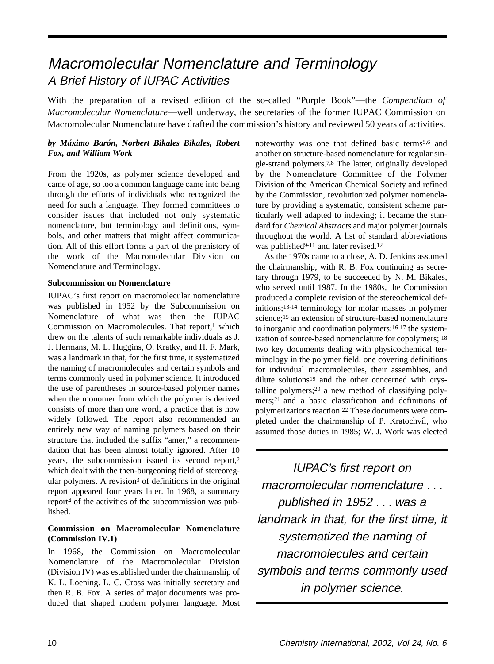## Macromolecular Nomenclature and Terminology A Brief History of IUPAC Activities

With the preparation of a revised edition of the so-called "Purple Book"—the *Compendium of Macromolecular Nomenclature*—well underway, the secretaries of the former IUPAC Commission on Macromolecular Nomenclature have drafted the commission's history and reviewed 50 years of activities.

#### *by Máximo Barón, Norbert Bikales Bikales, Robert Fox, and William Work*

From the 1920s, as polymer science developed and came of age, so too a common language came into being through the efforts of individuals who recognized the need for such a language. They formed committees to consider issues that included not only systematic nomenclature, but terminology and definitions, symbols, and other matters that might affect communication. All of this effort forms a part of the prehistory of the work of the Macromolecular Division on Nomenclature and Terminology.

#### **Subcommission on Nomenclature**

IUPAC's first report on macromolecular nomenclature was published in 1952 by the Subcommission on Nomenclature of what was then the IUPAC Commission on Macromolecules. That report,<sup>1</sup> which drew on the talents of such remarkable individuals as J. J. Hermans, M. L. Huggins, O. Kratky, and H. F. Mark, was a landmark in that, for the first time, it systematized the naming of macromolecules and certain symbols and terms commonly used in polymer science. It introduced the use of parentheses in source-based polymer names when the monomer from which the polymer is derived consists of more than one word, a practice that is now widely followed. The report also recommended an entirely new way of naming polymers based on their structure that included the suffix "amer," a recommendation that has been almost totally ignored. After 10 years, the subcommission issued its second report,2 which dealt with the then-burgeoning field of stereoregular polymers. A revision<sup>3</sup> of definitions in the original report appeared four years later. In 1968, a summary report4 of the activities of the subcommission was published.

#### **Commission on Macromolecular Nomenclature (Commission IV.1)**

In 1968, the Commission on Macromolecular Nomenclature of the Macromolecular Division (Division IV) was established under the chairmanship of K. L. Loening. L. C. Cross was initially secretary and then R. B. Fox. A series of major documents was produced that shaped modern polymer language. Most

noteworthy was one that defined basic terms5,6 and another on structure-based nomenclature for regular single-strand polymers.7,8 The latter, originally developed by the Nomenclature Committee of the Polymer Division of the American Chemical Society and refined by the Commission, revolutionized polymer nomenclature by providing a systematic, consistent scheme particularly well adapted to indexing; it became the standard for *Chemical Abstracts* and major polymer journals throughout the world. A list of standard abbreviations was published<sup>9-11</sup> and later revised.<sup>12</sup>

As the 1970s came to a close, A. D. Jenkins assumed the chairmanship, with R. B. Fox continuing as secretary through 1979, to be succeeded by N. M. Bikales, who served until 1987. In the 1980s, the Commission produced a complete revision of the stereochemical definitions;13-14 terminology for molar masses in polymer science;<sup>15</sup> an extension of structure-based nomenclature to inorganic and coordination polymers;16-17 the systemization of source-based nomenclature for copolymers; 18 two key documents dealing with physicochemical terminology in the polymer field, one covering definitions for individual macromolecules, their assemblies, and dilute solutions19 and the other concerned with crystalline polymers;20 a new method of classifying polymers;21 and a basic classification and definitions of polymerizations reaction.22 These documents were completed under the chairmanship of P. Kratochvíl, who assumed those duties in 1985; W. J. Work was elected

IUPAC's first report on macromolecular nomenclature . . . published in 1952 . . . was a landmark in that, for the first time, it systematized the naming of macromolecules and certain symbols and terms commonly used in polymer science.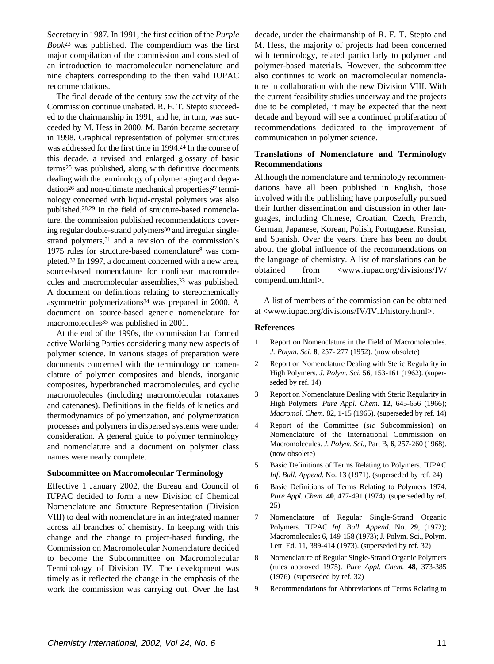Secretary in 1987. In 1991, the first edition of the *Purple Book*<sup>23</sup> was published. The compendium was the first major compilation of the commission and consisted of an introduction to macromolecular nomenclature and nine chapters corresponding to the then valid IUPAC recommendations.

The final decade of the century saw the activity of the Commission continue unabated. R. F. T. Stepto succeeded to the chairmanship in 1991, and he, in turn, was succeeded by M. Hess in 2000. M. Barón became secretary in 1998. Graphical representation of polymer structures was addressed for the first time in 1994.24 In the course of this decade, a revised and enlarged glossary of basic terms25 was published, along with definitive documents dealing with the terminology of polymer aging and degradation<sup>26</sup> and non-ultimate mechanical properties;<sup>27</sup> terminology concerned with liquid-crystal polymers was also published.28,29 In the field of structure-based nomenclature, the commission published recommendations covering regular double-strand polymers<sup>30</sup> and irregular singlestrand polymers,31 and a revision of the commission's 1975 rules for structure-based nomenclature8 was completed.32 In 1997, a document concerned with a new area, source-based nomenclature for nonlinear macromolecules and macromolecular assemblies,<sup>33</sup> was published. A document on definitions relating to stereochemically asymmetric polymerizations<sup>34</sup> was prepared in 2000. A document on source-based generic nomenclature for macromolecules<sup>35</sup> was published in 2001.

At the end of the 1990s, the commission had formed active Working Parties considering many new aspects of polymer science. In various stages of preparation were documents concerned with the terminology or nomenclature of polymer composites and blends, inorganic composites, hyperbranched macromolecules, and cyclic macromolecules (including macromolecular rotaxanes and catenanes). Definitions in the fields of kinetics and thermodynamics of polymerization, and polymerization processes and polymers in dispersed systems were under consideration. A general guide to polymer terminology and nomenclature and a document on polymer class names were nearly complete.

#### **Subcommittee on Macromolecular Terminology**

Effective 1 January 2002, the Bureau and Council of IUPAC decided to form a new Division of Chemical Nomenclature and Structure Representation (Division VIII) to deal with nomenclature in an integrated manner across all branches of chemistry. In keeping with this change and the change to project-based funding, the Commission on Macromolecular Nomenclature decided to become the Subcommittee on Macromolecular Terminology of Division IV. The development was timely as it reflected the change in the emphasis of the work the commission was carrying out. Over the last

decade, under the chairmanship of R. F. T. Stepto and M. Hess, the majority of projects had been concerned with terminology, related particularly to polymer and polymer-based materials. However, the subcommittee also continues to work on macromolecular nomenclature in collaboration with the new Division VIII. With the current feasibility studies underway and the projects due to be completed, it may be expected that the next decade and beyond will see a continued proliferation of recommendations dedicated to the improvement of communication in polymer science.

#### **Translations of Nomenclature and Terminology Recommendations**

Although the nomenclature and terminology recommendations have all been published in English, those involved with the publishing have purposefully pursued their further dissemination and discussion in other languages, including Chinese, Croatian, Czech, French, German, Japanese, Korean, Polish, Portuguese, Russian, and Spanish. Over the years, there has been no doubt about the global influence of the recommendations on the language of chemistry. A list of translations can be obtained from <www.iupac.org/divisions/IV/ compendium.html>.

A list of members of the commission can be obtained at <www.iupac.org/divisions/IV/IV.1/history.html>.

#### **References**

- 1 Report on Nomenclature in the Field of Macromolecules. *J. Polym. Sci.* **8**, 257- 277 (1952). (now obsolete)
- 2 Report on Nomenclature Dealing with Steric Regularity in High Polymers. *J. Polym. Sci.* **56**, 153-161 (1962). (superseded by ref. 14)
- 3 Report on Nomenclature Dealing with Steric Regularity in High Polymers. *Pure Appl. Chem.* **12**, 645-656 (1966); *Macromol. Chem.* 82, 1-15 (1965). (superseded by ref. 14)
- 4 Report of the Committee (*sic* Subcommission) on Nomenclature of the International Commission on Macromolecules. *J. Polym. Sci.*, Part B, **6**, 257-260 (1968). (now obsolete)
- 5 Basic Definitions of Terms Relating to Polymers. IUPAC *Inf. Bull. Append.* No. **13** (1971). (superseded by ref. 24)
- 6 Basic Definitions of Terms Relating to Polymers 1974. *Pure Appl. Chem.* **40**, 477-491 (1974). (superseded by ref. 25)
- 7 Nomenclature of Regular Single-Strand Organic Polymers. IUPAC *Inf. Bull. Append.* No. **29**, (1972); Macromolecules 6, 149-158 (1973); J. Polym. Sci., Polym. Lett. Ed. 11, 389-414 (1973). (superseded by ref. 32)
- 8 Nomenclature of Regular Single-Strand Organic Polymers (rules approved 1975). *Pure Appl. Chem.* **48**, 373-385 (1976). (superseded by ref. 32)
- 9 Recommendations for Abbreviations of Terms Relating to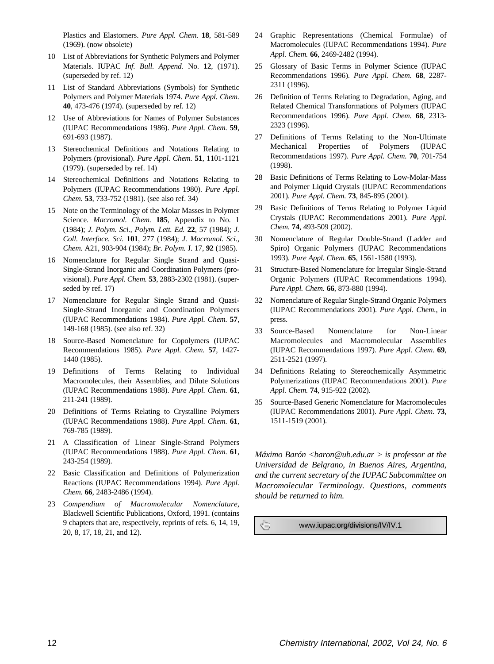Plastics and Elastomers. *Pure Appl. Chem.* **18**, 581-589 (1969). (now obsolete)

- 10 List of Abbreviations for Synthetic Polymers and Polymer Materials. IUPAC *Inf. Bull. Append.* No. **12**, (1971). (superseded by ref. 12)
- 11 List of Standard Abbreviations (Symbols) for Synthetic Polymers and Polymer Materials 1974. *Pure Appl. Chem.* **40**, 473-476 (1974). (superseded by ref. 12)
- 12 Use of Abbreviations for Names of Polymer Substances (IUPAC Recommendations 1986). *Pure Appl. Chem.* **59**, 691-693 (1987).
- 13 Stereochemical Definitions and Notations Relating to Polymers (provisional). *Pure Appl. Chem.* **51**, 1101-1121 (1979). (superseded by ref. 14)
- 14 Stereochemical Definitions and Notations Relating to Polymers (IUPAC Recommendations 1980). *Pure Appl. Chem.* **53**, 733-752 (1981). (see also ref. 34)
- 15 Note on the Terminology of the Molar Masses in Polymer Science. *Macromol. Chem.* **185**, Appendix to No. 1 (1984); *J. Polym. Sci., Polym. Lett. Ed.* **22**, 57 (1984); *J. Coll. Interface. Sci.* **101**, 277 (1984); *J. Macromol. Sci., Chem.* A21, 903-904 (1984); *Br. Polym.* J. 17, **92** (1985).
- 16 Nomenclature for Regular Single Strand and Quasi-Single-Strand Inorganic and Coordination Polymers (provisional). *Pure Appl. Chem.* **53**, 2883-2302 (1981). (superseded by ref. 17)
- 17 Nomenclature for Regular Single Strand and Quasi-Single-Strand Inorganic and Coordination Polymers (IUPAC Recommendations 1984). *Pure Appl. Chem.* **57**, 149-168 (1985). (see also ref. 32)
- 18 Source-Based Nomenclature for Copolymers (IUPAC Recommendations 1985). *Pure Appl. Chem.* **57**, 1427- 1440 (1985).
- 19 Definitions of Terms Relating to Individual Macromolecules, their Assemblies, and Dilute Solutions (IUPAC Recommendations 1988). *Pure Appl. Chem.* **61**, 211-241 (1989).
- 20 Definitions of Terms Relating to Crystalline Polymers (IUPAC Recommendations 1988). *Pure Appl. Chem.* **61**, 769-785 (1989).
- 21 A Classification of Linear Single-Strand Polymers (IUPAC Recommendations 1988). *Pure Appl. Chem.* **61**, 243-254 (1989).
- 22 Basic Classification and Definitions of Polymerization Reactions (IUPAC Recommendations 1994). *Pure Appl. Chem.* **66**, 2483-2486 (1994).
- 23 *Compendium of Macromolecular Nomenclature*, Blackwell Scientific Publications, Oxford, 1991. (contains 9 chapters that are, respectively, reprints of refs. 6, 14, 19, 20, 8, 17, 18, 21, and 12).
- 24 Graphic Representations (Chemical Formulae) of Macromolecules (IUPAC Recommendations 1994). *Pure Appl. Chem.* **66**, 2469-2482 (1994).
- 25 Glossary of Basic Terms in Polymer Science (IUPAC Recommendations 1996). *Pure Appl. Chem.* **68**, 2287- 2311 (1996).
- 26 Definition of Terms Relating to Degradation, Aging, and Related Chemical Transformations of Polymers (IUPAC Recommendations 1996). *Pure Appl. Chem.* **68**, 2313- 2323 (1996).
- 27 Definitions of Terms Relating to the Non-Ultimate Mechanical Properties of Polymers (IUPAC Recommendations 1997). *Pure Appl. Chem.* **70**, 701-754 (1998).
- 28 Basic Definitions of Terms Relating to Low-Molar-Mass and Polymer Liquid Crystals (IUPAC Recommendations 2001). *Pure Appl. Chem.* **73**, 845-895 (2001).
- 29 Basic Definitions of Terms Relating to Polymer Liquid Crystals (IUPAC Recommendations 2001). *Pure Appl. Chem.* **74**, 493-509 (2002).
- 30 Nomenclature of Regular Double-Strand (Ladder and Spiro) Organic Polymers (IUPAC Recommendations 1993). *Pure Appl. Chem.* **65**, 1561-1580 (1993).
- 31 Structure-Based Nomenclature for Irregular Single-Strand Organic Polymers (IUPAC Recommendations 1994). *Pure Appl. Chem.* **66**, 873-880 (1994).
- 32 Nomenclature of Regular Single-Strand Organic Polymers (IUPAC Recommendations 2001). *Pure Appl. Chem.*, in press.
- 33 Source-Based Nomenclature for Non-Linear Macromolecules and Macromolecular Assemblies (IUPAC Recommendations 1997). *Pure Appl. Chem.* **69**, 2511-2521 (1997).
- 34 Definitions Relating to Stereochemically Asymmetric Polymerizations (IUPAC Recommendations 2001). *Pure Appl. Chem.* **74**, 915-922 (2002).
- 35 Source-Based Generic Nomenclature for Macromolecules (IUPAC Recommendations 2001). *Pure Appl. Chem.* **73**, 1511-1519 (2001).

*Máximo Barón <baron@ub.edu.ar > is professor at the Universidad de Belgrano, in Buenos Aires, Argentina, and the current secretary of the IUPAC Subcommittee on Macromolecular Terminology. Questions, comments should be returned to him.*

www.iupac.org/divisions/IV/IV.1

 $\sqrt[3]{\mathbb{D}}$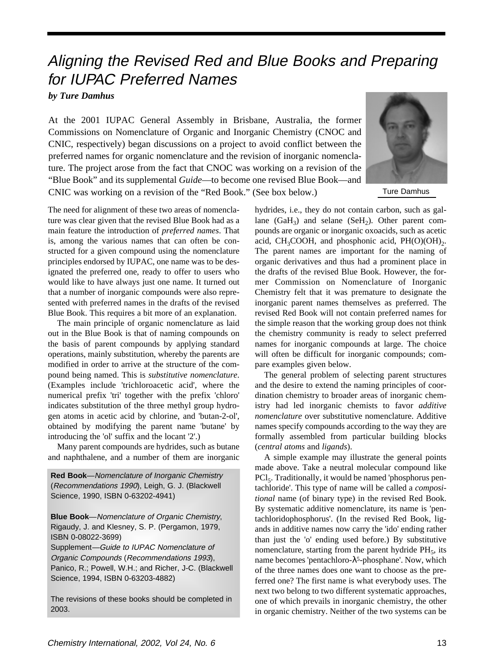# Aligning the Revised Red and Blue Books and Preparing for IUPAC Preferred Names

*by Ture Damhus*

At the 2001 IUPAC General Assembly in Brisbane, Australia, the former Commissions on Nomenclature of Organic and Inorganic Chemistry (CNOC and CNIC, respectively) began discussions on a project to avoid conflict between the preferred names for organic nomenclature and the revision of inorganic nomenclature. The project arose from the fact that CNOC was working on a revision of the "Blue Book" and its supplemental *Guide*—to become one revised Blue Book—and CNIC was working on a revision of the "Red Book." (See box below.) Ture Damhus



The need for alignment of these two areas of nomenclature was clear given that the revised Blue Book had as a main feature the introduction of *preferred names*. That is, among the various names that can often be constructed for a given compound using the nomenclature principles endorsed by IUPAC, one name was to be designated the preferred one, ready to offer to users who would like to have always just one name. It turned out that a number of inorganic compounds were also represented with preferred names in the drafts of the revised Blue Book. This requires a bit more of an explanation.

The main principle of organic nomenclature as laid out in the Blue Book is that of naming compounds on the basis of parent compounds by applying standard operations, mainly substitution, whereby the parents are modified in order to arrive at the structure of the compound being named. This is *substitutive nomenclature*. (Examples include 'trichloroacetic acid', where the numerical prefix 'tri' together with the prefix 'chloro' indicates substitution of the three methyl group hydrogen atoms in acetic acid by chlorine, and 'butan-2-ol', obtained by modifying the parent name 'butane' by introducing the 'ol' suffix and the locant '2'.)

Many parent compounds are hydrides, such as butane and naphthalene, and a number of them are inorganic

**Red Book**—Nomenclature of Inorganic Chemistry (Recommendations 1990), Leigh, G. J. (Blackwell Science, 1990, ISBN 0-63202-4941)

**Blue Book**—Nomenclature of Organic Chemistry, Rigaudy, J. and Klesney, S. P. (Pergamon, 1979, ISBN 0-08022-3699) Supplement—Guide to IUPAC Nomenclature of Organic Compounds (Recommendations 1993), Panico, R.; Powell, W.H.; and Richer, J-C. (Blackwell Science, 1994, ISBN 0-63203-4882)

The revisions of these books should be completed in 2003.

hydrides, i.e., they do not contain carbon, such as gallane  $(GaH_3)$  and selane  $(SeH_2)$ . Other parent compounds are organic or inorganic oxoacids, such as acetic acid,  $CH_3COOH$ , and phosphonic acid,  $PH(O)(OH)_{2}$ . The parent names are important for the naming of organic derivatives and thus had a prominent place in the drafts of the revised Blue Book. However, the former Commission on Nomenclature of Inorganic Chemistry felt that it was premature to designate the inorganic parent names themselves as preferred. The revised Red Book will not contain preferred names for the simple reason that the working group does not think the chemistry community is ready to select preferred names for inorganic compounds at large. The choice will often be difficult for inorganic compounds; compare examples given below.

The general problem of selecting parent structures and the desire to extend the naming principles of coordination chemistry to broader areas of inorganic chemistry had led inorganic chemists to favor *additive nomenclature* over substitutive nomenclature. Additive names specify compounds according to the way they are formally assembled from particular building blocks (*central atoms* and *ligands*).

A simple example may illustrate the general points made above. Take a neutral molecular compound like PCl<sub>5</sub>. Traditionally, it would be named 'phosphorus pentachloride'. This type of name will be called a *compositional* name (of binary type) in the revised Red Book. By systematic additive nomenclature, its name is 'pentachloridophosphorus'. (In the revised Red Book, ligands in additive names now carry the 'ido' ending rather than just the 'o' ending used before.) By substitutive nomenclature, starting from the parent hydride PH<sub>5</sub>, its name becomes 'pentachloro-λ5-phosphane'. Now, which of the three names does one want to choose as the preferred one? The first name is what everybody uses. The next two belong to two different systematic approaches, one of which prevails in inorganic chemistry, the other in organic chemistry. Neither of the two systems can be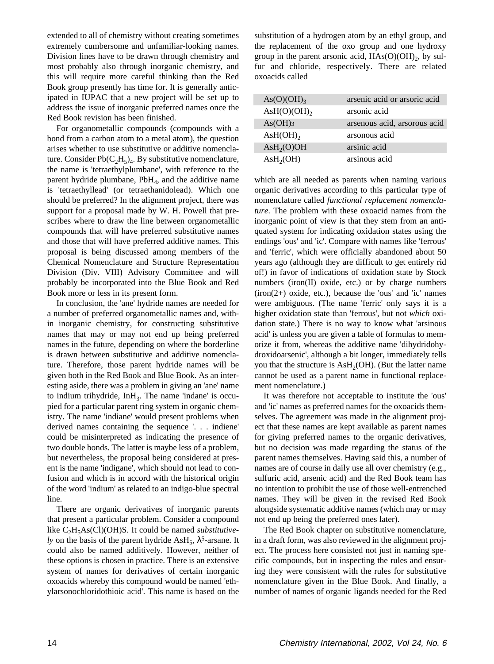extended to all of chemistry without creating sometimes extremely cumbersome and unfamiliar-looking names. Division lines have to be drawn through chemistry and most probably also through inorganic chemistry, and this will require more careful thinking than the Red Book group presently has time for. It is generally anticipated in IUPAC that a new project will be set up to address the issue of inorganic preferred names once the Red Book revision has been finished.

For organometallic compounds (compounds with a bond from a carbon atom to a metal atom), the question arises whether to use substitutive or additive nomenclature. Consider  $Pb(C_2H_5)_4$ . By substitutive nomenclature, the name is 'tetraethylplumbane', with reference to the parent hydride plumbane,  $PbH<sub>4</sub>$ , and the additive name is 'tetraethyllead' (or tetraethanidolead). Which one should be preferred? In the alignment project, there was support for a proposal made by W. H. Powell that prescribes where to draw the line between organometallic compounds that will have preferred substitutive names and those that will have preferred additive names. This proposal is being discussed among members of the Chemical Nomenclature and Structure Representation Division (Div. VIII) Advisory Committee and will probably be incorporated into the Blue Book and Red Book more or less in its present form.

In conclusion, the 'ane' hydride names are needed for a number of preferred organometallic names and, within inorganic chemistry, for constructing substitutive names that may or may not end up being preferred names in the future, depending on where the borderline is drawn between substitutive and additive nomenclature. Therefore, those parent hydride names will be given both in the Red Book and Blue Book. As an interesting aside, there was a problem in giving an 'ane' name to indium trihydride,  $InH<sub>3</sub>$ . The name 'indane' is occupied for a particular parent ring system in organic chemistry. The name 'indiane' would present problems when derived names containing the sequence '. . . indiene' could be misinterpreted as indicating the presence of two double bonds. The latter is maybe less of a problem, but nevertheless, the proposal being considered at present is the name 'indigane', which should not lead to confusion and which is in accord with the historical origin of the word 'indium' as related to an indigo-blue spectral line.

There are organic derivatives of inorganic parents that present a particular problem. Consider a compound like C<sub>2</sub>H<sub>5</sub>As(Cl)(OH)S. It could be named *substitutively* on the basis of the parent hydride AsH<sub>5</sub>,  $\lambda$ <sup>5</sup>-arsane. It could also be named additively. However, neither of these options is chosen in practice. There is an extensive system of names for derivatives of certain inorganic oxoacids whereby this compound would be named 'ethylarsonochloridothioic acid'. This name is based on the

substitution of a hydrogen atom by an ethyl group, and the replacement of the oxo group and one hydroxy group in the parent arsonic acid,  $HAs(O)(OH)_{2}$ , by sulfur and chloride, respectively. There are related oxoacids called

| As(O)(OH) <sub>3</sub> | arsenic acid or arsoric acid |
|------------------------|------------------------------|
| $AsH(O)(OH)_{2}$       | arsonic acid                 |
| As(OH)3                | arsenous acid, arsorous acid |
| $AsH(OH)_{2}$          | arsonous acid                |
| AsH <sub>2</sub> (O)OH | arsinic acid                 |
| AsH <sub>2</sub> (OH)  | arsinous acid                |

which are all needed as parents when naming various organic derivatives according to this particular type of nomenclature called *functional replacement nomenclature*. The problem with these oxoacid names from the inorganic point of view is that they stem from an antiquated system for indicating oxidation states using the endings 'ous' and 'ic'. Compare with names like 'ferrous' and 'ferric', which were officially abandoned about 50 years ago (although they are difficult to get entirely rid of!) in favor of indications of oxidation state by Stock numbers (iron(II) oxide, etc.) or by charge numbers  $(iron(2+)$  oxide, etc.), because the 'ous' and 'ic' names were ambiguous. (The name 'ferric' only says it is a higher oxidation state than 'ferrous', but not *which* oxidation state.) There is no way to know what 'arsinous acid' is unless you are given a table of formulas to memorize it from, whereas the additive name 'dihydridohydroxidoarsenic', although a bit longer, immediately tells you that the structure is  $\text{AsH}_2(OH)$ . (But the latter name cannot be used as a parent name in functional replacement nomenclature.)

It was therefore not acceptable to institute the 'ous' and 'ic' names as preferred names for the oxoacids themselves. The agreement was made in the alignment project that these names are kept available as parent names for giving preferred names to the organic derivatives, but no decision was made regarding the status of the parent names themselves. Having said this, a number of names are of course in daily use all over chemistry (e.g., sulfuric acid, arsenic acid) and the Red Book team has no intention to prohibit the use of those well-entrenched names. They will be given in the revised Red Book alongside systematic additive names (which may or may not end up being the preferred ones later).

The Red Book chapter on substitutive nomenclature, in a draft form, was also reviewed in the alignment project. The process here consisted not just in naming specific compounds, but in inspecting the rules and ensuring they were consistent with the rules for substitutive nomenclature given in the Blue Book. And finally, a number of names of organic ligands needed for the Red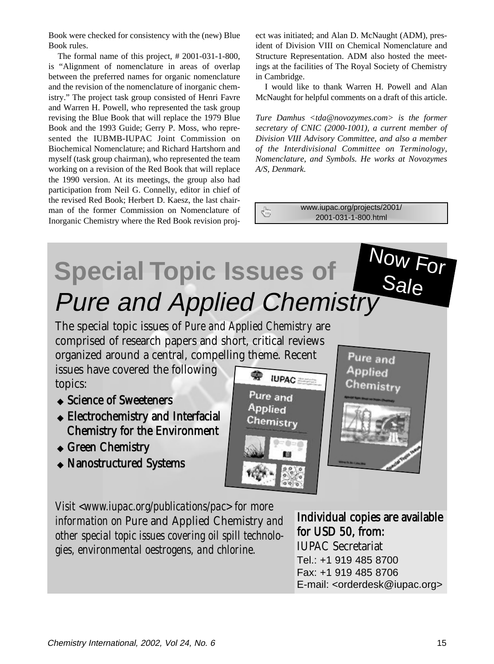Book were checked for consistency with the (new) Blue Book rules.

The formal name of this project, # 2001-031-1-800, is "Alignment of nomenclature in areas of overlap between the preferred names for organic nomenclature and the revision of the nomenclature of inorganic chemistry." The project task group consisted of Henri Favre and Warren H. Powell, who represented the task group revising the Blue Book that will replace the 1979 Blue Book and the 1993 Guide; Gerry P. Moss, who represented the IUBMB-IUPAC Joint Commission on Biochemical Nomenclature; and Richard Hartshorn and myself (task group chairman), who represented the team working on a revision of the Red Book that will replace the 1990 version. At its meetings, the group also had participation from Neil G. Connelly, editor in chief of the revised Red Book; Herbert D. Kaesz, the last chairman of the former Commission on Nomenclature of Inorganic Chemistry where the Red Book revision project was initiated; and Alan D. McNaught (ADM), president of Division VIII on Chemical Nomenclature and Structure Representation. ADM also hosted the meetings at the facilities of The Royal Society of Chemistry in Cambridge.

I would like to thank Warren H. Powell and Alan McNaught for helpful comments on a draft of this article.

*Ture Damhus <tda@novozymes.com> is the former secretary of CNIC (2000-1001), a current member of Division VIII Advisory Committee, and also a member of the Interdivisional Committee on Terminology, Nomenclature, and Symbols. He works at Novozymes A/S, Denmark.*

www.iupac.org/projects/2001/ 2001-031-1-800.html



 $\oplus$ 

Tel.: +1 919 485 8700 Fax: +1 919 485 8706 E-mail: <orderdesk@iupac.org>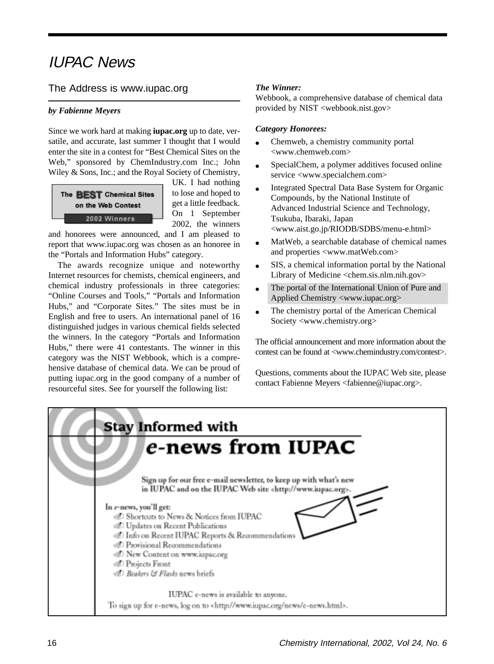# IUPAC News

### The Address is www.iupac.org

#### *by Fabienne Meyers*

Since we work hard at making **iupac.org** up to date, versatile, and accurate, last summer I thought that I would enter the site in a contest for "Best Chemical Sites on the Web," sponsored by ChemIndustry.com Inc.; John Wiley & Sons, Inc.; and the Royal Society of Chemistry,



UK. I had nothing to lose and hoped to get a little feedback. On 1 September 2002, the winners

and honorees were announced, and I am pleased to report that www.iupac.org was chosen as an honoree in the "Portals and Information Hubs" category.

The awards recognize unique and noteworthy Internet resources for chemists, chemical engineers, and chemical industry professionals in three categories: "Online Courses and Tools," "Portals and Information Hubs," and "Corporate Sites." The sites must be in English and free to users. An international panel of 16 distinguished judges in various chemical fields selected the winners. In the category "Portals and Information Hubs," there were 41 contestants. The winner in this category was the NIST Webbook, which is a comprehensive database of chemical data. We can be proud of putting iupac.org in the good company of a number of resourceful sites. See for yourself the following list:

#### *The Winner:*

Webbook, a comprehensive database of chemical data provided by NIST <webbook.nist.gov>

#### *Category Honorees:*

- Chemweb, a chemistry community portal <www.chemweb.com>
- SpecialChem, a polymer additives focused online service <www.specialchem.com>
- Integrated Spectral Data Base System for Organic Compounds, by the National Institute of Advanced Industrial Science and Technology, Tsukuba, Ibaraki, Japan <www.aist.go.jp/RIODB/SDBS/menu-e.html>
- MatWeb, a searchable database of chemical names and properties <www.matWeb.com>
- SIS, a chemical information portal by the National Library of Medicine <chem.sis.nlm.nih.gov>
- The portal of the International Union of Pure and Applied Chemistry <www.iupac.org>
- The chemistry portal of the American Chemical Society <www.chemistry.org>

The official announcement and more information about the contest can be found at <www.chemindustry.com/contest>.

Questions, comments about the IUPAC Web site, please contact Fabienne Meyers <fabienne@iupac.org>.

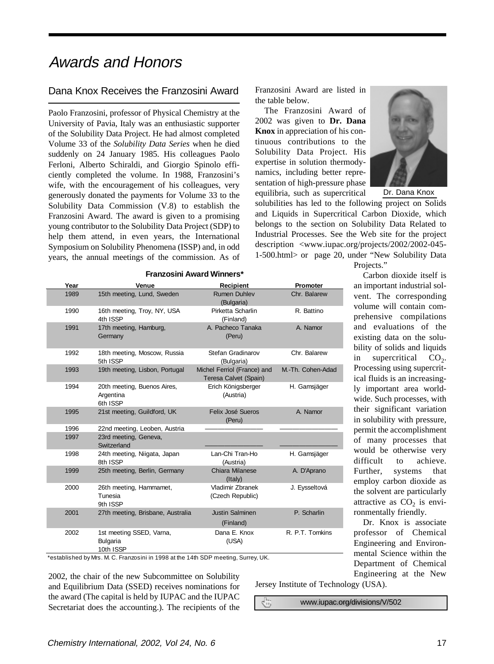## Awards and Honors

#### Dana Knox Receives the Franzosini Award

Paolo Franzosini, professor of Physical Chemistry at the University of Pavia, Italy was an enthusiastic supporter of the Solubility Data Project. He had almost completed Volume 33 of the *Solubility Data Series* when he died suddenly on 24 January 1985. His colleagues Paolo Ferloni, Alberto Schiraldi, and Giorgio Spinolo efficiently completed the volume. In 1988, Franzosini's wife, with the encouragement of his colleagues, very generously donated the payments for Volume 33 to the Solubility Data Commission (V.8) to establish the Franzosini Award. The award is given to a promising young contributor to the Solubility Data Project (SDP) to help them attend, in even years, the International Symposium on Solubility Phenomena (ISSP) and, in odd years, the annual meetings of the commission. As of Franzosini Award are listed in the table below.

The Franzosini Award of 2002 was given to **Dr. Dana Knox** in appreciation of his continuous contributions to the Solubility Data Project. His expertise in solution thermodynamics, including better representation of high-pressure phase equilibria, such as supercritical



Dr. Dana Knox

solubilities has led to the following project on Solids and Liquids in Supercritical Carbon Dioxide, which belongs to the section on Solubility Data Related to Industrial Processes. See the Web site for the project description <www.iupac.org/projects/2002/2002-045- 1-500.html> or page 20, under "New Solubility Data

|  |  |  |  |  | <b>Franzosini Award Winners*</b> |
|--|--|--|--|--|----------------------------------|
|  |  |  |  |  |                                  |

| Year | Venue                                                | Recipient                                            | <b>Promoter</b>   |
|------|------------------------------------------------------|------------------------------------------------------|-------------------|
| 1989 | 15th meeting, Lund, Sweden                           | <b>Rumen Duhley</b><br>(Bulgaria)                    | Chr. Balarew      |
| 1990 | 16th meeting, Troy, NY, USA<br>4th ISSP              | Pirketta Scharlin<br>(Finland)                       | R. Battino        |
| 1991 | 17th meeting, Hamburg,<br>Germany                    | A. Pacheco Tanaka<br>(Peru)                          | A. Namor          |
| 1992 | 18th meeting, Moscow, Russia<br>5th ISSP             | Stefan Gradinarov<br>(Bulgaria)                      | Chr. Balarew      |
| 1993 | 19th meeting, Lisbon, Portugal                       | Michel Ferriol (France) and<br>Teresa Calvet (Spain) | M.-Th. Cohen-Adad |
| 1994 | 20th meeting, Buenos Aires,<br>Argentina<br>6th ISSP | Erich Königsberger<br>(Austria)                      | H. Gamsjäger      |
| 1995 | 21st meeting, Guildford, UK                          | Felix José Sueros<br>(Peru)                          | A. Namor          |
| 1996 | 22nd meeting, Leoben, Austria                        |                                                      |                   |
| 1997 | 23rd meeting, Geneva,<br>Switzerland                 |                                                      |                   |
| 1998 | 24th meeting, Niigata, Japan<br>8th ISSP             | Lan-Chi Tran-Ho<br>(Austria)                         | H. Gamsjäger      |
| 1999 | 25th meeting, Berlin, Germany                        | Chiara Milanese<br>(Italy)                           | A. D'Aprano       |
| 2000 | 26th meeting, Hammamet,<br>Tunesia<br>9th ISSP       | Vladimir Zbranek<br>(Czech Republic)                 | J. Eysseltová     |
| 2001 | 27th meeting, Brisbane, Australia                    | <b>Justin Salminen</b><br>(Finland)                  | P. Scharlin       |
| 2002 | 1st meeting SSED, Varna,<br>Bulgaria<br>10th ISSP    | Dana E. Knox<br>(USA)                                | R. P.T. Tomkins   |

Projects."

Carbon dioxide itself is an important industrial solvent. The corresponding volume will contain comprehensive compilations and evaluations of the existing data on the solubility of solids and liquids in supercritical  $CO<sub>2</sub>$ . Processing using supercritical fluids is an increasingly important area worldwide. Such processes, with their significant variation in solubility with pressure, permit the accomplishment of many processes that would be otherwise very difficult to achieve. Further, systems that employ carbon dioxide as the solvent are particularly attractive as  $CO<sub>2</sub>$  is environmentally friendly.

Dr. Knox is associate professor of Chemical Engineering and Environmental Science within the Department of Chemical Engineering at the New

\*established by Mrs. M. C. Franzosini in 1998 at the 14th SDP meeting, Surrey, UK.

2002, the chair of the new Subcommittee on Solubility and Equilibrium Data (SSED) receives nominations for the award (The capital is held by IUPAC and the IUPAC Secretariat does the accounting.). The recipients of the

Jersey Institute of Technology (USA).

www.iupac.org/divisions/V/502ς'n,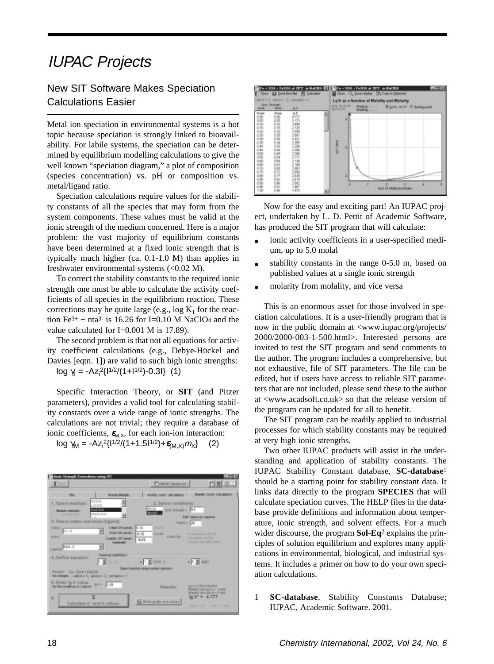## IUPAC Projects

### New SIT Software Makes Speciation Calculations Easier

Metal ion speciation in environmental systems is a hot topic because speciation is strongly linked to bioavailability. For labile systems, the speciation can be determined by equilibrium modelling calculations to give the well known "speciation diagram," a plot of composition (species concentration) vs. pH or composition vs. metal/ligand ratio.

Speciation calculations require values for the stability constants of all the species that may form from the system components. These values must be valid at the ionic strength of the medium concerned. Here is a major problem: the vast majority of equilibrium constants have been determined at a fixed ionic strength that is typically much higher (ca. 0.1-1.0 M) than applies in freshwater environmental systems (<0.02 M).

To correct the stability constants to the required ionic strength one must be able to calculate the activity coefficients of all species in the equilibrium reaction. These corrections may be quite large (e.g.,  $log K<sub>1</sub>$  for the reaction  $Fe^{3+} + nta^{3-}$  is 16.26 for I=0.10 M NaClO4 and the value calculated for I=0.001 M is 17.89).

The second problem is that not all equations for activity coefficient calculations (e.g., Debye-Hückel and Davies [eqtn. 1]) are valid to such high ionic strengths: log γ<sub>l</sub> = -Az<sub>i</sub><sup>2</sup>{l<sup>1/2</sup>/(1+l<sup>1/2</sup>)-0.3l} (1)

Specific Interaction Theory, or **SIT** (and Pitzer parameters), provides a valid tool for calculating stability constants over a wide range of ionic strengths. The calculations are not trivial; they require a database of ionic coefficients,  $\epsilon_{M,X}$ , for each ion-ion interaction:

 $log \gamma_{\text{M}} = -Az_1^2{1^{1/2}}/(1+1.51^{1/2})+\epsilon_{(M,X)}m_X$ } (2)





Now for the easy and exciting part! An IUPAC project, undertaken by L. D. Pettit of Academic Software, has produced the SIT program that will calculate:

- ionic activity coefficients in a user-specified medium, up to 5.0 molal
- stability constants in the range  $0-5.0$  m, based on published values at a single ionic strength
- molarity from molality, and vice versa

This is an enormous asset for those involved in speciation calculations. It is a user-friendly program that is now in the public domain at <www.iupac.org/projects/ 2000/2000-003-1-500.html>. Interested persons are invited to test the SIT program and send comments to the author. The program includes a comprehensive, but not exhaustive, file of SIT parameters. The file can be edited, but if users have access to reliable SIT parameters that are not included, please send these to the author at <www.acadsoft.co.uk> so that the release version of the program can be updated for all to benefit.

The SIT program can be readily applied to industrial processes for which stability constants may be required at very high ionic strengths.

Two other IUPAC products will assist in the understanding and application of stability constants. The IUPAC Stability Constant database, **SC-database**<sup>1</sup> should be a starting point for stability constant data. It links data directly to the program **SPECIES** that will calculate speciation curves. The HELP files in the database provide definitions and information about temperature, ionic strength, and solvent effects. For a much wider discourse, the program **Sol-Eq**<sup>2</sup> explains the principles of solution equilibrium and explores many applications in environmental, biological, and industrial systems. It includes a primer on how to do your own speciation calculations.

1 **SC-database**, Stability Constants Database; IUPAC, Academic Software. 2001.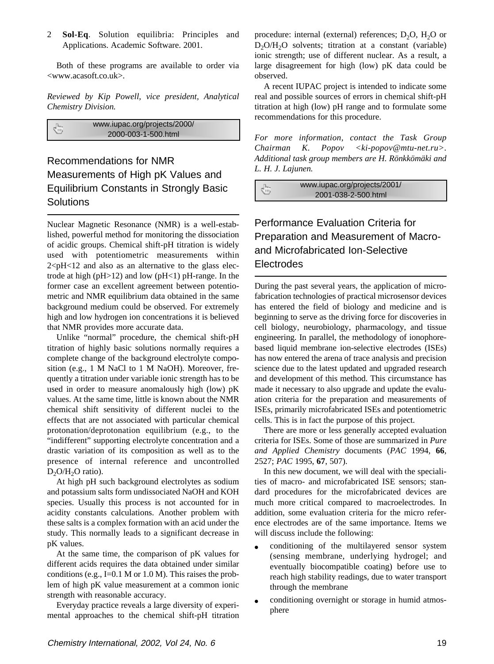2 **Sol-Eq**. Solution equilibria: Principles and Applications. Academic Software. 2001.

Both of these programs are available to order via <www.acasoft.co.uk>.

*Reviewed by Kip Powell, vice president, Analytical Chemistry Division.*

| sh | www.iupac.org/projects/2000/ |
|----|------------------------------|
|    | 2000-003-1-500.html          |

## Recommendations for NMR Measurements of High pK Values and Equilibrium Constants in Strongly Basic **Solutions**

Nuclear Magnetic Resonance (NMR) is a well-established, powerful method for monitoring the dissociation of acidic groups. Chemical shift-pH titration is widely used with potentiometric measurements within  $2$ <pH<12 and also as an alternative to the glass electrode at high ( $pH>12$ ) and low ( $pH<1$ )  $pH$ -range. In the former case an excellent agreement between potentiometric and NMR equilibrium data obtained in the same background medium could be observed. For extremely high and low hydrogen ion concentrations it is believed that NMR provides more accurate data.

Unlike "normal" procedure, the chemical shift-pH titration of highly basic solutions normally requires a complete change of the background electrolyte composition (e.g., 1 M NaCl to 1 M NaOH). Moreover, frequently a titration under variable ionic strength has to be used in order to measure anomalously high (low) pK values. At the same time, little is known about the NMR chemical shift sensitivity of different nuclei to the effects that are not associated with particular chemical protonation/deprotonation equilibrium (e.g., to the "indifferent" supporting electrolyte concentration and a drastic variation of its composition as well as to the presence of internal reference and uncontrolled  $D_2O/H_2O$  ratio).

At high pH such background electrolytes as sodium and potassium salts form undissociated NaOH and KOH species. Usually this process is not accounted for in acidity constants calculations. Another problem with these salts is a complex formation with an acid under the study. This normally leads to a significant decrease in pK values.

At the same time, the comparison of pK values for different acids requires the data obtained under similar conditions (e.g., I=0.1 M or 1.0 M). This raises the problem of high pK value measurement at a common ionic strength with reasonable accuracy.

Everyday practice reveals a large diversity of experimental approaches to the chemical shift-pH titration

procedure: internal (external) references;  $D_2O$ ,  $H_2O$  or  $D_2O/H_2O$  solvents; titration at a constant (variable) ionic strength; use of different nuclear. As a result, a large disagreement for high (low) pK data could be observed.

A recent IUPAC project is intended to indicate some real and possible sources of errors in chemical shift-pH titration at high (low) pH range and to formulate some recommendations for this procedure.

*For more information, contact the Task Group Chairman K. Popov <ki-popov@mtu-net.ru>. Additional task group members are H. Rönkkömäki and L. H. J. Lajunen.*

www.iupac.org/projects/2001/ 2001-038-2-500.html

## Performance Evaluation Criteria for Preparation and Measurement of Macroand Microfabricated Ion-Selective Electrodes

During the past several years, the application of microfabrication technologies of practical microsensor devices has entered the field of biology and medicine and is beginning to serve as the driving force for discoveries in cell biology, neurobiology, pharmacology, and tissue engineering. In parallel, the methodology of ionophorebased liquid membrane ion-selective electrodes (ISEs) has now entered the arena of trace analysis and precision science due to the latest updated and upgraded research and development of this method. This circumstance has made it necessary to also upgrade and update the evaluation criteria for the preparation and measurements of ISEs, primarily microfabricated ISEs and potentiometric cells. This is in fact the purpose of this project.

There are more or less generally accepted evaluation criteria for ISEs. Some of those are summarized in *Pure and Applied Chemistry* documents (*PAC* 1994, **66**, 2527; *PAC* 1995, **67**, 507).

In this new document, we will deal with the specialities of macro- and microfabricated ISE sensors; standard procedures for the microfabricated devices are much more critical compared to macroelectrodes. In addition, some evaluation criteria for the micro reference electrodes are of the same importance. Items we will discuss include the following:

- conditioning of the multilayered sensor system (sensing membrane, underlying hydrogel; and eventually biocompatible coating) before use to reach high stability readings, due to water transport through the membrane
- conditioning overnight or storage in humid atmosphere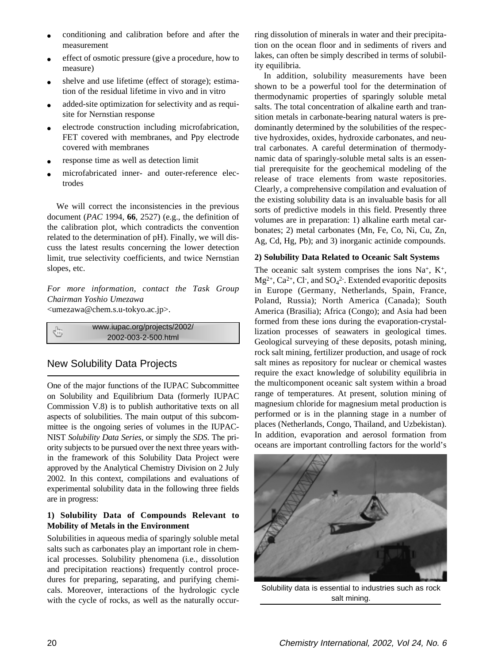- conditioning and calibration before and after the measurement
- effect of osmotic pressure (give a procedure, how to measure)
- shelve and use lifetime (effect of storage); estimation of the residual lifetime in vivo and in vitro
- added-site optimization for selectivity and as requisite for Nernstian response
- electrode construction including microfabrication, FET covered with membranes, and Ppy electrode covered with membranes
- response time as well as detection limit
- microfabricated inner- and outer-reference electrodes

We will correct the inconsistencies in the previous document (*PAC* 1994, **66**, 2527) (e.g., the definition of the calibration plot, which contradicts the convention related to the determination of pH). Finally, we will discuss the latest results concerning the lower detection limit, true selectivity coefficients, and twice Nernstian slopes, etc.

*For more information, contact the Task Group Chairman Yoshio Umezawa* <umezawa@chem.s.u-tokyo.ac.jp>.

| $\mathcal{C}^{\mathbb{L}}_{\mathbb{D}}$ | www.iupac.org/projects/2002/ |  |
|-----------------------------------------|------------------------------|--|
|                                         | 2002-003-2-500.html          |  |

## New Solubility Data Projects

One of the major functions of the IUPAC Subcommittee on Solubility and Equilibrium Data (formerly IUPAC Commission V.8) is to publish authoritative texts on all aspects of solubilities. The main output of this subcommittee is the ongoing series of volumes in the IUPAC-NIST *Solubility Data Series*, or simply the *SDS*. The priority subjects to be pursued over the next three years within the framework of this Solubility Data Project were approved by the Analytical Chemistry Division on 2 July 2002. In this context, compilations and evaluations of experimental solubility data in the following three fields are in progress:

#### **1) Solubility Data of Compounds Relevant to Mobility of Metals in the Environment**

Solubilities in aqueous media of sparingly soluble metal salts such as carbonates play an important role in chemical processes. Solubility phenomena (i.e., dissolution and precipitation reactions) frequently control procedures for preparing, separating, and purifying chemicals. Moreover, interactions of the hydrologic cycle with the cycle of rocks, as well as the naturally occurring dissolution of minerals in water and their precipitation on the ocean floor and in sediments of rivers and lakes, can often be simply described in terms of solubility equilibria.

In addition, solubility measurements have been shown to be a powerful tool for the determination of thermodynamic properties of sparingly soluble metal salts. The total concentration of alkaline earth and transition metals in carbonate-bearing natural waters is predominantly determined by the solubilities of the respective hydroxides, oxides, hydroxide carbonates, and neutral carbonates. A careful determination of thermodynamic data of sparingly-soluble metal salts is an essential prerequisite for the geochemical modeling of the release of trace elements from waste repositories. Clearly, a comprehensive compilation and evaluation of the existing solubility data is an invaluable basis for all sorts of predictive models in this field. Presently three volumes are in preparation: 1) alkaline earth metal carbonates; 2) metal carbonates (Mn, Fe, Co, Ni, Cu, Zn, Ag, Cd, Hg, Pb); and 3) inorganic actinide compounds.

#### **2) Solubility Data Related to Oceanic Salt Systems**

The oceanic salt system comprises the ions Na+,  $K^+$ ,  $Mg^{2+}$ , Ca<sup>2+</sup>, Cl<sup>-</sup>, and SO<sub>4</sub><sup>2-</sup>. Extended evaporitic deposits in Europe (Germany, Netherlands, Spain, France, Poland, Russia); North America (Canada); South America (Brasilia); Africa (Congo); and Asia had been formed from these ions during the evaporation-crystallization processes of seawaters in geological times. Geological surveying of these deposits, potash mining, rock salt mining, fertilizer production, and usage of rock salt mines as repository for nuclear or chemical wastes require the exact knowledge of solubility equilibria in the multicomponent oceanic salt system within a broad range of temperatures. At present, solution mining of magnesium chloride for magnesium metal production is performed or is in the planning stage in a number of places (Netherlands, Congo, Thailand, and Uzbekistan). In addition, evaporation and aerosol formation from oceans are important controlling factors for the world's



Solubility data is essential to industries such as rock salt mining.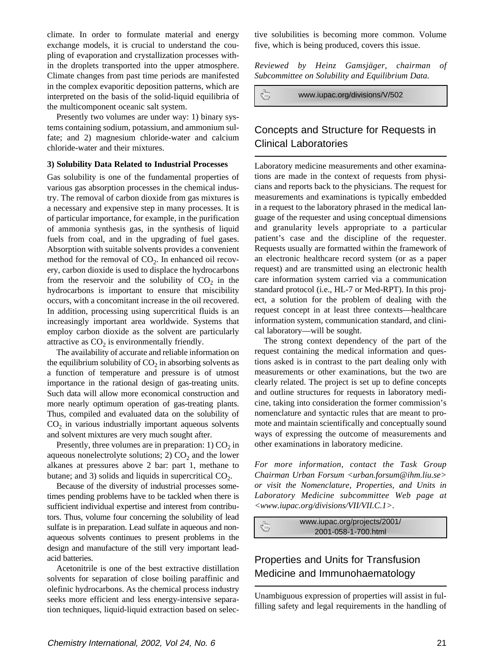climate. In order to formulate material and energy exchange models, it is crucial to understand the coupling of evaporation and crystallization processes within the droplets transported into the upper atmosphere. Climate changes from past time periods are manifested in the complex evaporitic deposition patterns, which are interpreted on the basis of the solid-liquid equilibria of the multicomponent oceanic salt system.

Presently two volumes are under way: 1) binary systems containing sodium, potassium, and ammonium sulfate; and 2) magnesium chloride-water and calcium chloride-water and their mixtures.

#### **3) Solubility Data Related to Industrial Processes**

Gas solubility is one of the fundamental properties of various gas absorption processes in the chemical industry. The removal of carbon dioxide from gas mixtures is a necessary and expensive step in many processes. It is of particular importance, for example, in the purification of ammonia synthesis gas, in the synthesis of liquid fuels from coal, and in the upgrading of fuel gases. Absorption with suitable solvents provides a convenient method for the removal of  $CO<sub>2</sub>$ . In enhanced oil recovery, carbon dioxide is used to displace the hydrocarbons from the reservoir and the solubility of  $CO<sub>2</sub>$  in the hydrocarbons is important to ensure that miscibility occurs, with a concomitant increase in the oil recovered. In addition, processing using supercritical fluids is an increasingly important area worldwide. Systems that employ carbon dioxide as the solvent are particularly attractive as  $CO<sub>2</sub>$  is environmentally friendly.

The availability of accurate and reliable information on the equilibrium solubility of  $CO<sub>2</sub>$  in absorbing solvents as a function of temperature and pressure is of utmost importance in the rational design of gas-treating units. Such data will allow more economical construction and more nearly optimum operation of gas-treating plants. Thus, compiled and evaluated data on the solubility of  $CO<sub>2</sub>$  in various industrially important aqueous solvents and solvent mixtures are very much sought after.

Presently, three volumes are in preparation:  $1) CO<sub>2</sub>$  in aqueous nonelectrolyte solutions; 2)  $CO<sub>2</sub>$  and the lower alkanes at pressures above 2 bar: part 1, methane to butane; and 3) solids and liquids in supercritical  $CO<sub>2</sub>$ .

Because of the diversity of industrial processes sometimes pending problems have to be tackled when there is sufficient individual expertise and interest from contributors. Thus, volume four concerning the solubility of lead sulfate is in preparation. Lead sulfate in aqueous and nonaqueous solvents continues to present problems in the design and manufacture of the still very important leadacid batteries.

Acetonitrile is one of the best extractive distillation solvents for separation of close boiling paraffinic and olefinic hydrocarbons. As the chemical process industry seeks more efficient and less energy-intensive separation techniques, liquid-liquid extraction based on selective solubilities is becoming more common. Volume five, which is being produced, covers this issue.

*Reviewed by Heinz Gamsjäger, chairman of Subcommittee on Solubility and Equilibrium Data.*

www.iupac.org/divisions/V/502

 $\mathcal{C}^{\mathrm{h}}_{\square}$ 

## Concepts and Structure for Requests in Clinical Laboratories

Laboratory medicine measurements and other examinations are made in the context of requests from physicians and reports back to the physicians. The request for measurements and examinations is typically embedded in a request to the laboratory phrased in the medical language of the requester and using conceptual dimensions and granularity levels appropriate to a particular patient's case and the discipline of the requester. Requests usually are formatted within the framework of an electronic healthcare record system (or as a paper request) and are transmitted using an electronic health care information system carried via a communication standard protocol (i.e., HL-7 or Med-RPT). In this project, a solution for the problem of dealing with the request concept in at least three contexts—healthcare information system, communication standard, and clinical laboratory—will be sought.

The strong context dependency of the part of the request containing the medical information and questions asked is in contrast to the part dealing only with measurements or other examinations, but the two are clearly related. The project is set up to define concepts and outline structures for requests in laboratory medicine, taking into consideration the former commission's nomenclature and syntactic rules that are meant to promote and maintain scientifically and conceptually sound ways of expressing the outcome of measurements and other examinations in laboratory medicine.

*For more information, contact the Task Group Chairman Urban Forsum <urban.forsum@ihm.liu.se> or visit the Nomenclature, Properties, and Units in Laboratory Medicine subcommittee Web page at <www.iupac.org/divisions/VII/VII.C.1>.*

| di | www.iupac.org/projects/2001/ |  |
|----|------------------------------|--|
|    | 2001-058-1-700.html          |  |

## Properties and Units for Transfusion Medicine and Immunohaematology

Unambiguous expression of properties will assist in fulfilling safety and legal requirements in the handling of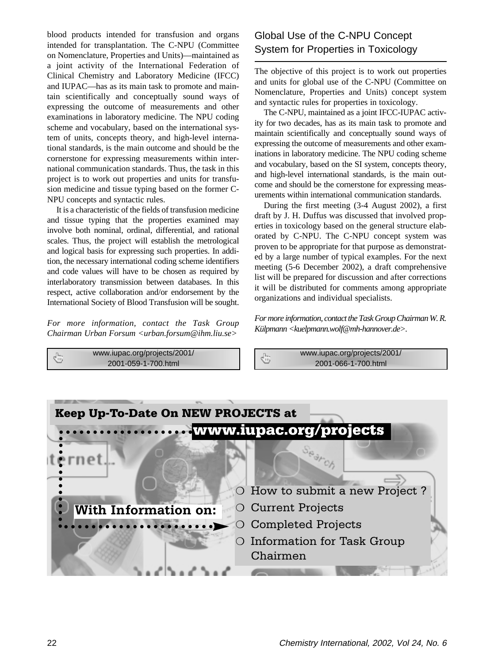blood products intended for transfusion and organs intended for transplantation. The C-NPU (Committee on Nomenclature, Properties and Units)—maintained as a joint activity of the International Federation of Clinical Chemistry and Laboratory Medicine (IFCC) and IUPAC—has as its main task to promote and maintain scientifically and conceptually sound ways of expressing the outcome of measurements and other examinations in laboratory medicine. The NPU coding scheme and vocabulary, based on the international system of units, concepts theory, and high-level international standards, is the main outcome and should be the cornerstone for expressing measurements within international communication standards. Thus, the task in this project is to work out properties and units for transfusion medicine and tissue typing based on the former C-NPU concepts and syntactic rules.

It is a characteristic of the fields of transfusion medicine and tissue typing that the properties examined may involve both nominal, ordinal, differential, and rational scales. Thus, the project will establish the metrological and logical basis for expressing such properties. In addition, the necessary international coding scheme identifiers and code values will have to be chosen as required by interlaboratory transmission between databases. In this respect, active collaboration and/or endorsement by the International Society of Blood Transfusion will be sought.

*For more information, contact the Task Group Chairman Urban Forsum <urban.forsum@ihm.liu.se>*

## Global Use of the C-NPU Concept System for Properties in Toxicology

The objective of this project is to work out properties and units for global use of the C-NPU (Committee on Nomenclature, Properties and Units) concept system and syntactic rules for properties in toxicology.

The C-NPU, maintained as a joint IFCC-IUPAC activity for two decades, has as its main task to promote and maintain scientifically and conceptually sound ways of expressing the outcome of measurements and other examinations in laboratory medicine. The NPU coding scheme and vocabulary, based on the SI system, concepts theory, and high-level international standards, is the main outcome and should be the cornerstone for expressing measurements within international communication standards.

During the first meeting (3-4 August 2002), a first draft by J. H. Duffus was discussed that involved properties in toxicology based on the general structure elaborated by C-NPU. The C-NPU concept system was proven to be appropriate for that purpose as demonstrated by a large number of typical examples. For the next meeting (5-6 December 2002), a draft comprehensive list will be prepared for discussion and after corrections it will be distributed for comments among appropriate organizations and individual specialists.

*For more information, contact the Task Group Chairman W. R. Külpmann <kuelpmann.wolf@mh-hannover.de>.*

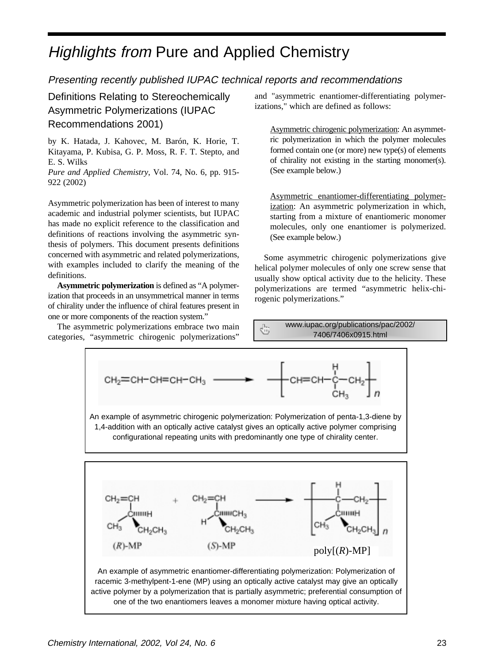# Highlights from Pure and Applied Chemistry

### Presenting recently published IUPAC technical reports and recommendations

Definitions Relating to Stereochemically Asymmetric Polymerizations (IUPAC Recommendations 2001)

by K. Hatada, J. Kahovec, M. Barón, K. Horie, T. Kitayama, P. Kubisa, G. P. Moss, R. F. T. Stepto, and E. S. Wilks

*Pure and Applied Chemistry*, Vol. 74, No. 6, pp. 915- 922 (2002)

Asymmetric polymerization has been of interest to many academic and industrial polymer scientists, but IUPAC has made no explicit reference to the classification and definitions of reactions involving the asymmetric synthesis of polymers. This document presents definitions concerned with asymmetric and related polymerizations, with examples included to clarify the meaning of the definitions.

**Asymmetric polymerization** is defined as "A polymerization that proceeds in an unsymmetrical manner in terms of chirality under the influence of chiral features present in one or more components of the reaction system."

The asymmetric polymerizations embrace two main categories, "asymmetric chirogenic polymerizations"

and "asymmetric enantiomer-differentiating polymerizations," which are defined as follows:

Asymmetric chirogenic polymerization: An asymmetric polymerization in which the polymer molecules formed contain one (or more) new type(s) of elements of chirality not existing in the starting monomer(s). (See example below.)

Asymmetric enantiomer-differentiating polymerization: An asymmetric polymerization in which, starting from a mixture of enantiomeric monomer molecules, only one enantiomer is polymerized. (See example below.)

Some asymmetric chirogenic polymerizations give helical polymer molecules of only one screw sense that usually show optical activity due to the helicity. These polymerizations are termed "asymmetric helix-chirogenic polymerizations."

www.iupac.org/publications/pac/2002/  $\sqrt[3]{\mathbb{Z}_2}$ 7406/7406x0915.html

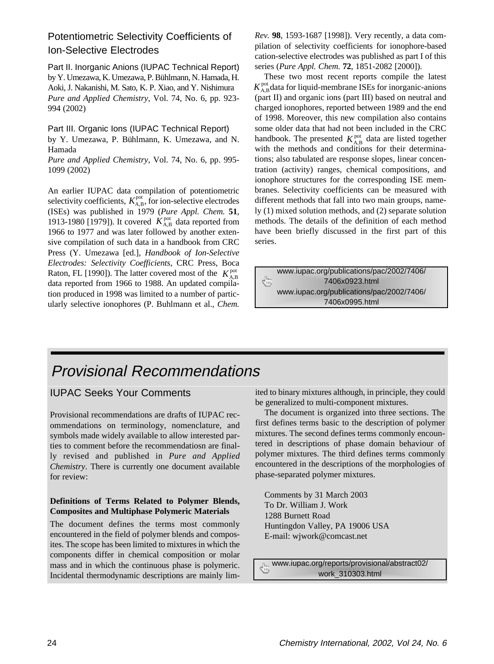### Potentiometric Selectivity Coefficients of Ion-Selective Electrodes

Part II. Inorganic Anions (IUPAC Technical Report) by Y. Umezawa, K. Umezawa, P. Bühlmann, N. Hamada, H. Aoki, J. Nakanishi, M. Sato, K. P. Xiao, and Y. Nishimura *Pure and Applied Chemistry*, Vol. 74, No. 6, pp. 923- 994 (2002)

Part III. Organic Ions (IUPAC Technical Report) by Y. Umezawa, P. Bühlmann, K. Umezawa, and N. Hamada

*Pure and Applied Chemistry*, Vol. 74, No. 6, pp. 995- 1099 (2002)

An earlier IUPAC data compilation of potentiometric selectivity coefficients,  $K_{\text{A},\text{B}}^{\text{pot}}$ , for ion-selective electrodes (ISEs) was published in 1979 (*Pure Appl. Chem.* **51**, 1913-1980 [1979]). It covered  $K_{\text{A},\text{B}}^{\text{pot}}$  data reported from 1966 to 1977 and was later followed by another extensive compilation of such data in a handbook from CRC Press (Y. Umezawa [ed.], *Handbook of Ion-Selective Electrodes: Selectivity Coefficients*, CRC Press, Boca Raton, FL [1990]). The latter covered most of the  $K_{\text{A,B}}^{\text{pot}}$ data reported from 1966 to 1988. An updated compilation produced in 1998 was limited to a number of particularly selective ionophores (P. Buhlmann et al., *Chem.*

*Rev.* **98**, 1593-1687 [1998]). Very recently, a data compilation of selectivity coefficients for ionophore-based cation-selective electrodes was published as part I of this series (*Pure Appl. Chem.* **72**, 1851-2082 [2000]).

These two most recent reports compile the latest  $K_{\rm A,B}^{\rm pot}$ data for liquid-membrane ISEs for inorganic-anions (part II) and organic ions (part III) based on neutral and charged ionophores, reported between 1989 and the end of 1998. Moreover, this new compilation also contains some older data that had not been included in the CRC handbook. The presented  $K_{\text{A},\text{B}}^{\text{pot}}$  data are listed together with the methods and conditions for their determinations; also tabulated are response slopes, linear concentration (activity) ranges, chemical compositions, and ionophore structures for the corresponding ISE membranes. Selectivity coefficients can be measured with different methods that fall into two main groups, namely (1) mixed solution methods, and (2) separate solution methods. The details of the definition of each method have been briefly discussed in the first part of this series.

www.iupac.org/publications/pac/2002/7406/ ¢b 7406x0923.html www.iupac.org/publications/pac/2002/7406/ 7406x0995.html

## Provisional Recommendations

IUPAC Seeks Your Comments

Provisional recommendations are drafts of IUPAC recommendations on terminology, nomenclature, and symbols made widely available to allow interested parties to comment before the recommendatiosn are finally revised and published in *Pure and Applied Chemistry*. There is currently one document available for review:

#### **Definitions of Terms Related to Polymer Blends, Composites and Multiphase Polymeric Materials**

The document defines the terms most commonly encountered in the field of polymer blends and composites. The scope has been limited to mixtures in which the components differ in chemical composition or molar mass and in which the continuous phase is polymeric. Incidental thermodynamic descriptions are mainly limited to binary mixtures although, in principle, they could be generalized to multi-component mixtures.

The document is organized into three sections. The first defines terms basic to the description of polymer mixtures. The second defines terms commonly encountered in descriptions of phase domain behaviour of polymer mixtures. The third defines terms commonly encountered in the descriptions of the morphologies of phase-separated polymer mixtures.

Comments by 31 March 2003 To Dr. William J. Work 1288 Burnett Road Huntingdon Valley, PA 19006 USA E-mail: wjwork@comcast.net

www.iupac.org/reports/provisional/abstract02/ work\_310303.html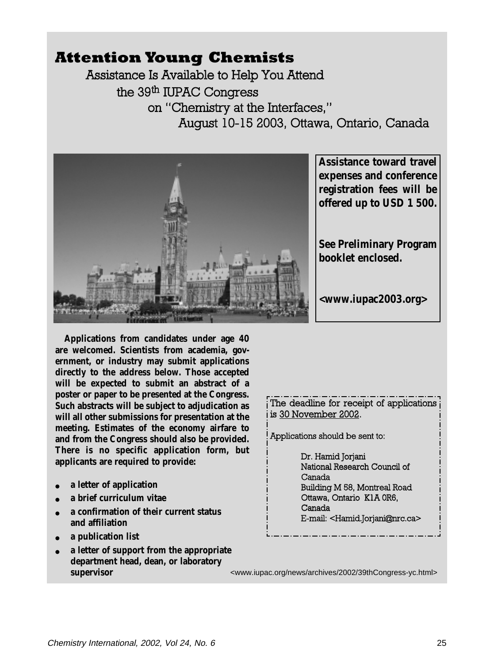## **Attention Young Chemists**

Assistance Is Available to Help You Attend the 39<sup>th</sup> IUPAC Congress on "Chemistry at the Interfaces," August 10-15 2003, Ottawa, Ontario, Canada



**Assistance toward travel expenses and conference registration fees will be offered up to USD 1 500.**

**See Preliminary Program booklet enclosed.**

**<www.iupac2003.org>**

**Applications from candidates under age 40 are welcomed. Scientists from academia, government, or industry may submit applications directly to the address below. Those accepted will be expected to submit an abstract of a poster or paper to be presented at the Congress. Such abstracts will be subject to adjudication as will all other submissions for presentation at the meeting. Estimates of the economy airfare to and from the Congress should also be provided. There is no specific application form, but applicants are required to provide:**

- **a letter of application**
- **a brief curriculum vitae**
- **a confirmation of their current status and affiliation**
- a publication list
- **a letter of support from the appropriate department head, dean, or laboratory supervisor**

The deadline for receipt of applications is 30 November 2002.

Applications should be sent to:

Dr. Hamid Jorjani National Research Council of Canada Building M 58, Montreal Road Ottawa, Ontario K1A 0R6, Canada E-mail: <Hamid.Jorjani@nrc.ca>

<www.iupac.org/news/archives/2002/39thCongress-yc.html>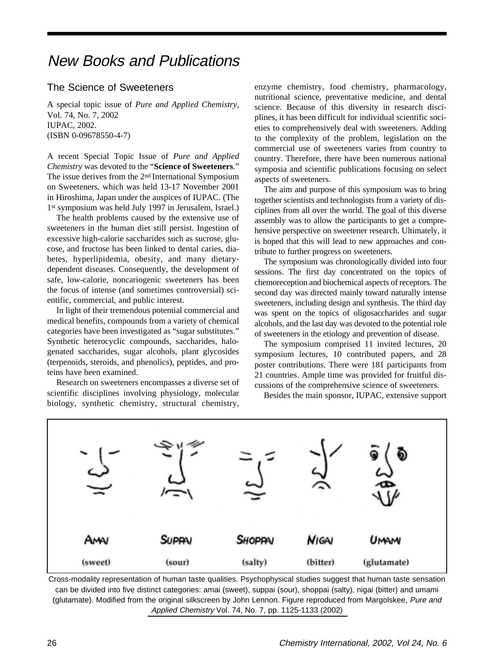## New Books and Publications

#### The Science of Sweeteners

A special topic issue of *Pure and Applied Chemistry*, Vol. 74, No. 7, 2002 IUPAC, 2002. (ISBN 0-09678550-4-7)

A recent Special Topic Issue of *Pure and Applied Chemistry* was devoted to the "**Science of Sweeteners**." The issue derives from the 2nd International Symposium on Sweeteners, which was held 13-17 November 2001 in Hiroshima, Japan under the auspices of IUPAC. (The 1st symposium was held July 1997 in Jerusalem, Israel.)

The health problems caused by the extensive use of sweeteners in the human diet still persist. Ingestion of excessive high-calorie saccharides such as sucrose, glucose, and fructose has been linked to dental caries, diabetes, hyperlipidemia, obesity, and many dietarydependent diseases. Consequently, the development of safe, low-calorie, noncariogenic sweeteners has been the focus of intense (and sometimes controversial) scientific, commercial, and public interest.

In light of their tremendous potential commercial and medical benefits, compounds from a variety of chemical categories have been investigated as "sugar substitutes." Synthetic heterocyclic compounds, saccharides, halogenated saccharides, sugar alcohols, plant glycosides (terpenoids, steroids, and phenolics), peptides, and proteins have been examined.

Research on sweeteners encompasses a diverse set of scientific disciplines involving physiology, molecular biology, synthetic chemistry, structural chemistry, enzyme chemistry, food chemistry, pharmacology, nutritional science, preventative medicine, and dental science. Because of this diversity in research disciplines, it has been difficult for individual scientific societies to comprehensively deal with sweeteners. Adding to the complexity of the problem, legislation on the commercial use of sweeteners varies from country to country. Therefore, there have been numerous national symposia and scientific publications focusing on select aspects of sweeteners.

The aim and purpose of this symposium was to bring together scientists and technologists from a variety of disciplines from all over the world. The goal of this diverse assembly was to allow the participants to get a comprehensive perspective on sweetener research. Ultimately, it is hoped that this will lead to new approaches and contribute to further progress on sweeteners.

The symposium was chronologically divided into four sessions. The first day concentrated on the topics of chemoreception and biochemical aspects of receptors. The second day was directed mainly toward naturally intense sweeteners, including design and synthesis. The third day was spent on the topics of oligosaccharides and sugar alcohols, and the last day was devoted to the potential role of sweeteners in the etiology and prevention of disease.

The symposium comprised 11 invited lectures, 20 symposium lectures, 10 contributed papers, and 28 poster contributions. There were 181 participants from 21 countries. Ample time was provided for fruitful discussions of the comprehensive science of sweeteners.

Besides the main sponsor, IUPAC, extensive support



Cross-modality representation of human taste qualities. Psychophysical studies suggest that human taste sensation can be divided into five distinct categories: amai (sweet), suppai (sour), shoppai (salty), nigai (bitter) and umami (glutamate). Modified from the original silkscreen by John Lennon. Figure reproduced from Margolskee, Pure and Applied Chemistry Vol. 74, No. 7, pp. 1125-1133 (2002)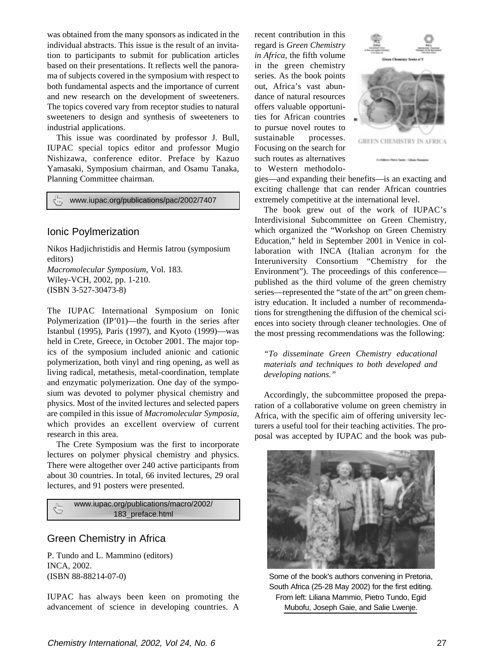was obtained from the many sponsors as indicated in the individual abstracts. This issue is the result of an invitation to participants to submit for publication articles based on their presentations. It reflects well the panorama of subjects covered in the symposium with respect to both fundamental aspects and the importance of current and new research on the development of sweeteners. The topics covered vary from receptor studies to natural sweeteners to design and synthesis of sweeteners to industrial applications.

This issue was coordinated by professor J. Bull, IUPAC special topics editor and professor Mugio Nishizawa, conference editor. Preface by Kazuo Yamasaki, Symposium chairman, and Osamu Tanaka, Planning Committee chairman.

www.iupac.org/publications/pac/2002/7407

#### Ionic Poylmerization

Nikos Hadjichristidis and Hermis Iatrou (symposium editors) *Macromolecular Symposium*, Vol. 183. Wiley-VCH, 2002, pp. 1-210. (ISBN 3-527-30473-8)

The IUPAC International Symposium on Ionic Polymerization (IP'01)—the fourth in the series after Istanbul (1995), Paris (1997), and Kyoto (1999)—was held in Crete, Greece, in October 2001. The major topics of the symposium included anionic and cationic polymerization, both vinyl and ring opening, as well as living radical, metathesis, metal-coordination, template and enzymatic polymerization. One day of the symposium was devoted to polymer physical chemistry and physics. Most of the invited lectures and selected papers are compiled in this issue of *Macromolecular Symposia*, which provides an excellent overview of current research in this area.

The Crete Symposium was the first to incorporate lectures on polymer physical chemistry and physics. There were altogether over 240 active participants from about 30 countries. In total, 66 invited lectures, 29 oral lectures, and 91 posters were presented.

www.iupac.org/publications/macro/2002/ 183\_preface.html

#### Green Chemistry in Africa

P. Tundo and L. Mammino (editors) INCA, 2002. (ISBN 88-88214-07-0)

IUPAC has always been keen on promoting the advancement of science in developing countries. A recent contribution in this regard is *Green Chemistry in Africa*, the fifth volume in the green chemistry series. As the book points out, Africa's vast abundance of natural resources offers valuable opportunities for African countries to pursue novel routes to sustainable processes. Focusing on the search for such routes as alternatives to Western methodolo-



gies—and expanding their benefits—is an exacting and exciting challenge that can render African countries extremely competitive at the international level.

The book grew out of the work of IUPAC's Interdivisional Subcommittee on Green Chemistry, which organized the "Workshop on Green Chemistry Education," held in September 2001 in Venice in collaboration with INCA (Italian acronym for the Interuniversity Consortium "Chemistry for the Environment"). The proceedings of this conference published as the third volume of the green chemistry series—represented the "state of the art" on green chemistry education. It included a number of recommendations for strengthening the diffusion of the chemical sciences into society through cleaner technologies. One of the most pressing recommendations was the following:

*"To disseminate Green Chemistry educational materials and techniques to both developed and developing nations."* 

Accordingly, the subcommittee proposed the preparation of a collaborative volume on green chemistry in Africa, with the specific aim of offering university lecturers a useful tool for their teaching activities. The proposal was accepted by IUPAC and the book was pub-



Some of the book's authors convening in Pretoria, South Africa (25-28 May 2002) for the first editing. From left: Liliana Mammio, Pietro Tundo, Egid Mubofu, Joseph Gaie, and Salie Lwenje.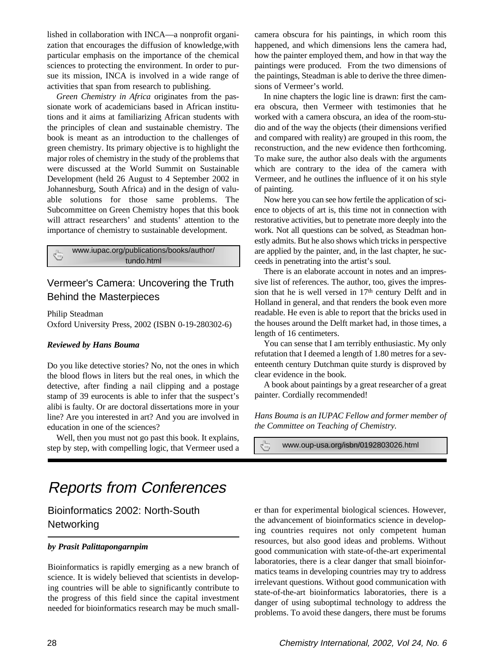lished in collaboration with INCA—a nonprofit organization that encourages the diffusion of knowledge,with particular emphasis on the importance of the chemical sciences to protecting the environment. In order to pursue its mission, INCA is involved in a wide range of activities that span from research to publishing.

*Green Chemistry in Africa* originates from the passionate work of academicians based in African institutions and it aims at familiarizing African students with the principles of clean and sustainable chemistry. The book is meant as an introduction to the challenges of green chemistry. Its primary objective is to highlight the major roles of chemistry in the study of the problems that were discussed at the World Summit on Sustainable Development (held 26 August to 4 September 2002 in Johannesburg, South Africa) and in the design of valuable solutions for those same problems. The Subcommittee on Green Chemistry hopes that this book will attract researchers' and students' attention to the importance of chemistry to sustainable development.

| $-\zeta_{\rm 1D}^{\rm 1L}$ | www.iupac.org/publications/books/author/ |
|----------------------------|------------------------------------------|
|                            | tundo.html                               |

## Vermeer's Camera: Uncovering the Truth Behind the Masterpieces

Philip Steadman Oxford University Press, 2002 (ISBN 0-19-280302-6)

#### *Reviewed by Hans Bouma*

Do you like detective stories? No, not the ones in which the blood flows in liters but the real ones, in which the detective, after finding a nail clipping and a postage stamp of 39 eurocents is able to infer that the suspect's alibi is faulty. Or are doctoral dissertations more in your line? Are you interested in art? And you are involved in education in one of the sciences?

Well, then you must not go past this book. It explains, step by step, with compelling logic, that Vermeer used a

## Reports from Conferences

## Bioinformatics 2002: North-South Networking

#### *by Prasit Palittapongarnpim*

Bioinformatics is rapidly emerging as a new branch of science. It is widely believed that scientists in developing countries will be able to significantly contribute to the progress of this field since the capital investment needed for bioinformatics research may be much small-

camera obscura for his paintings, in which room this happened, and which dimensions lens the camera had, how the painter employed them, and how in that way the paintings were produced. From the two dimensions of the paintings, Steadman is able to derive the three dimensions of Vermeer's world.

In nine chapters the logic line is drawn: first the camera obscura, then Vermeer with testimonies that he worked with a camera obscura, an idea of the room-studio and of the way the objects (their dimensions verified and compared with reality) are grouped in this room, the reconstruction, and the new evidence then forthcoming. To make sure, the author also deals with the arguments which are contrary to the idea of the camera with Vermeer, and he outlines the influence of it on his style of painting.

Now here you can see how fertile the application of science to objects of art is, this time not in connection with restorative activities, but to penetrate more deeply into the work. Not all questions can be solved, as Steadman honestly admits. But he also shows which tricks in perspective are applied by the painter, and, in the last chapter, he succeeds in penetrating into the artist's soul.

There is an elaborate account in notes and an impressive list of references. The author, too, gives the impression that he is well versed in 17th century Delft and in Holland in general, and that renders the book even more readable. He even is able to report that the bricks used in the houses around the Delft market had, in those times, a length of 16 centimeters.

You can sense that I am terribly enthusiastic. My only refutation that I deemed a length of 1.80 metres for a seventeenth century Dutchman quite sturdy is disproved by clear evidence in the book.

A book about paintings by a great researcher of a great painter. Cordially recommended!

*Hans Bouma is an IUPAC Fellow and former member of the Committee on Teaching of Chemistry.*

 $\sqrt{\frac{1}{10}}$ www.oup-usa.org/isbn/0192803026.html

er than for experimental biological sciences. However, the advancement of bioinformatics science in developing countries requires not only competent human resources, but also good ideas and problems. Without good communication with state-of-the-art experimental laboratories, there is a clear danger that small bioinformatics teams in developing countries may try to address irrelevant questions. Without good communication with state-of-the-art bioinformatics laboratories, there is a danger of using suboptimal technology to address the problems. To avoid these dangers, there must be forums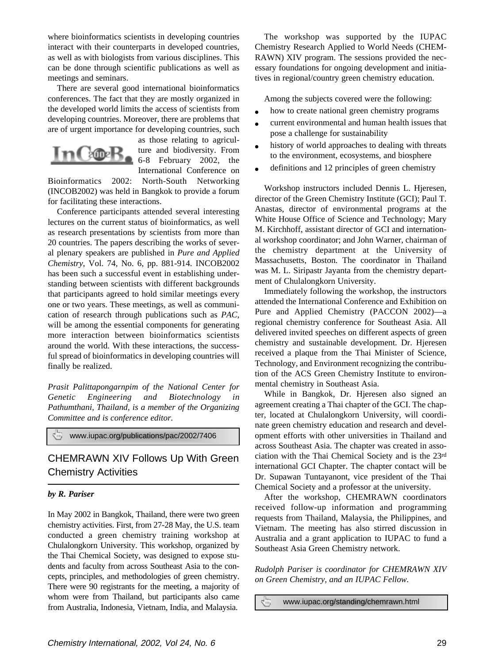where bioinformatics scientists in developing countries interact with their counterparts in developed countries, as well as with biologists from various disciplines. This can be done through scientific publications as well as meetings and seminars.

There are several good international bioinformatics conferences. The fact that they are mostly organized in the developed world limits the access of scientists from developing countries. Moreover, there are problems that are of urgent importance for developing countries, such



as those relating to agriculture and biodiversity. From 6-8 February 2002, the International Conference on Bioinformatics 2002: North-South Networking

(INCOB2002) was held in Bangkok to provide a forum for facilitating these interactions.

Conference participants attended several interesting lectures on the current status of bioinformatics, as well as research presentations by scientists from more than 20 countries. The papers describing the works of several plenary speakers are published in *Pure and Applied Chemistry*, Vol. 74, No. 6, pp. 881-914. INCOB2002 has been such a successful event in establishing understanding between scientists with different backgrounds that participants agreed to hold similar meetings every one or two years. These meetings, as well as communication of research through publications such as *PAC*, will be among the essential components for generating more interaction between bioinformatics scientists around the world. With these interactions, the successful spread of bioinformatics in developing countries will finally be realized.

*Prasit Palittapongarnpim of the National Center for Genetic Engineering and Biotechnology in Pathumthani, Thailand, is a member of the Organizing Committee and is conference editor.*

www.iupac.org/publications/pac/2002/7406

### CHEMRAWN XIV Follows Up With Green Chemistry Activities

#### *by R. Pariser*

In May 2002 in Bangkok, Thailand, there were two green chemistry activities. First, from 27-28 May, the U.S. team conducted a green chemistry training workshop at Chulalongkorn University. This workshop, organized by the Thai Chemical Society, was designed to expose students and faculty from across Southeast Asia to the concepts, principles, and methodologies of green chemistry. There were 90 registrants for the meeting, a majority of whom were from Thailand, but participants also came from Australia, Indonesia, Vietnam, India, and Malaysia.

The workshop was supported by the IUPAC Chemistry Research Applied to World Needs (CHEM-RAWN) XIV program. The sessions provided the necessary foundations for ongoing development and initiatives in regional/country green chemistry education.

Among the subjects covered were the following:

- how to create national green chemistry programs
- current environmental and human health issues that pose a challenge for sustainability
- history of world approaches to dealing with threats to the environment, ecosystems, and biosphere
- definitions and 12 principles of green chemistry

Workshop instructors included Dennis L. Hjeresen, director of the Green Chemistry Institute (GCI); Paul T. Anastas, director of environmental programs at the White House Office of Science and Technology; Mary M. Kirchhoff, assistant director of GCI and international workshop coordinator; and John Warner, chairman of the chemistry department at the University of Massachusetts, Boston. The coordinator in Thailand was M. L. Siripastr Jayanta from the chemistry department of Chulalongkorn University.

Immediately following the workshop, the instructors attended the International Conference and Exhibition on Pure and Applied Chemistry (PACCON 2002)—a regional chemistry conference for Southeast Asia. All delivered invited speeches on different aspects of green chemistry and sustainable development. Dr. Hjeresen received a plaque from the Thai Minister of Science, Technology, and Environment recognizing the contribution of the ACS Green Chemistry Institute to environmental chemistry in Southeast Asia.

While in Bangkok, Dr. Hjeresen also signed an agreement creating a Thai chapter of the GCI. The chapter, located at Chulalongkorn University, will coordinate green chemistry education and research and development efforts with other universities in Thailand and across Southeast Asia. The chapter was created in association with the Thai Chemical Society and is the 23rd international GCI Chapter. The chapter contact will be Dr. Supawan Tuntayanont, vice president of the Thai Chemical Society and a professor at the university.

After the workshop, CHEMRAWN coordinators received follow-up information and programming requests from Thailand, Malaysia, the Philippines, and Vietnam. The meeting has also stirred discussion in Australia and a grant application to IUPAC to fund a Southeast Asia Green Chemistry network.

*Rudolph Pariser is coordinator for CHEMRAWN XIV on Green Chemistry, and an IUPAC Fellow.* 

 $\sqrt{\frac{1}{10}}$ www.iupac.org/standing/chemrawn.html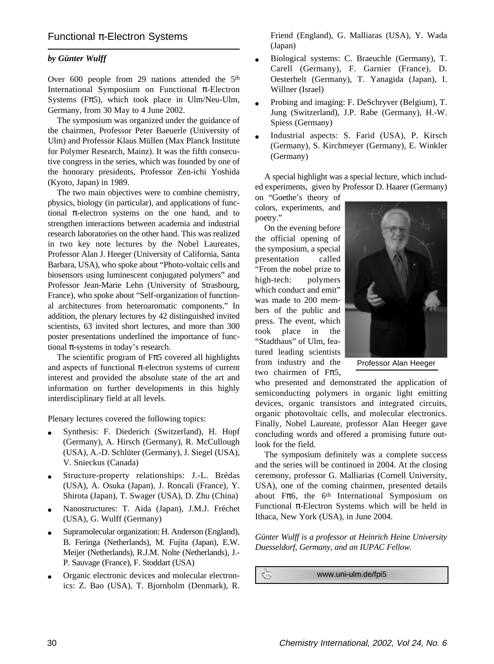#### *by Günter Wulff*

Over 600 people from 29 nations attended the 5<sup>th</sup> International Symposium on Functional π-Electron Systems ( $F\pi 5$ ), which took place in Ulm/Neu-Ulm, Germany, from 30 May to 4 June 2002.

The symposium was organized under the guidance of the chairmen, Professor Peter Baeuerle (University of Ulm) and Professor Klaus Müllen (Max Planck Institute for Polymer Research, Mainz). It was the fifth consecutive congress in the series, which was founded by one of the honorary presidents, Professor Zen-ichi Yoshida (Kyoto, Japan) in 1989.

The two main objectives were to combine chemistry, physics, biology (in particular), and applications of functional  $\pi$ -electron systems on the one hand, and to strengthen interactions between academia and industrial research laboratories on the other hand. This was realized in two key note lectures by the Nobel Laureates, Professor Alan J. Heeger (University of California, Santa Barbara, USA), who spoke about "Photo-voltaic cells and biosensors using luminescent conjugated polymers" and Professor Jean-Marie Lehn (University of Strasbourg, France), who spoke about "Self-organization of functional architectures from heteroaromatic components." In addition, the plenary lectures by 42 distinguished invited scientists, 63 invited short lectures, and more than 300 poster presentations underlined the importance of functional  $\pi$ -systems in today's research.

The scientific program of  $F\pi 5$  covered all highlights and aspects of functional  $\pi$ -electron systems of current interest and provided the absolute state of the art and information on further developments in this highly interdisciplinary field at all levels.

Plenary lectures covered the following topics:

- Synthesis: F. Diederich (Switzerland), H. Hopf (Germany), A. Hirsch (Germany), R. McCullough (USA), A.-D. Schlüter (Germany), J. Siegel (USA), V. Snieckus (Canada)
- Structure-property relationships: J.-L. Brédas (USA), A. Osuka (Japan), J. Roncali (France), Y. Shirota (Japan), T. Swager (USA), D. Zhu (China)
- Nanostructures: T. Aida (Japan), J.M.J. Fréchet (USA), G. Wulff (Germany)
- Supramolecular organization: H. Anderson (England), B. Feringa (Netherlands), M. Fujita (Japan), E.W. Meijer (Netherlands), R.J.M. Nolte (Netherlands), J.- P. Sauvage (France), F. Stoddart (USA)
- Organic electronic devices and molecular electronics: Z. Bao (USA), T. Bjornholm (Denmark), R.

Friend (England), G. Malliaras (USA), Y. Wada (Japan)

- Biological systems: C. Braeuchle (Germany), T. Carell (Germany), F. Garnier (France), D. Oesterhelt (Germany), T. Yanagida (Japan), I. Willner (Israel)
- Probing and imaging: F. DeSchryver (Belgium), T. Jung (Switzerland), J.P. Rabe (Germany), H.-W. Spiess (Germany)
- Industrial aspects: S. Farid (USA), P. Kirsch (Germany), S. Kirchmeyer (Germany), E. Winkler (Germany)

A special highlight was a special lecture, which included experiments, given by Professor D. Haarer (Germany)

on "Goethe's theory of colors, experiments, and poetry."

On the evening before the official opening of the symposium, a special presentation called "From the nobel prize to high-tech: polymers which conduct and emit" was made to 200 members of the public and press. The event, which took place in the "Stadthaus" of Ulm, featured leading scientists from industry and the two chairmen of  $F\pi 5$ ,



Professor Alan Heeger

who presented and demonstrated the application of semiconducting polymers in organic light emitting devices, organic transistors and integrated circuits, organic photovoltaic cells, and molecular electronics. Finally, Nobel Laureate, professor Alan Heeger gave concluding words and offered a promising future outlook for the field.

The symposium definitely was a complete success and the series will be continued in 2004. At the closing ceremony, professor G. Malliarias (Cornell University, USA), one of the coming chairmen, presented details about F $\pi$ 6, the 6<sup>th</sup> International Symposium on Functional π-Electron Systems which will be held in Ithaca, New York (USA), in June 2004.

*Günter Wulff is a professor at Heinrich Heine University Duesseldorf, Germany, and an IUPAC Fellow.*

www.uni-ulm.de/fpi5

嫱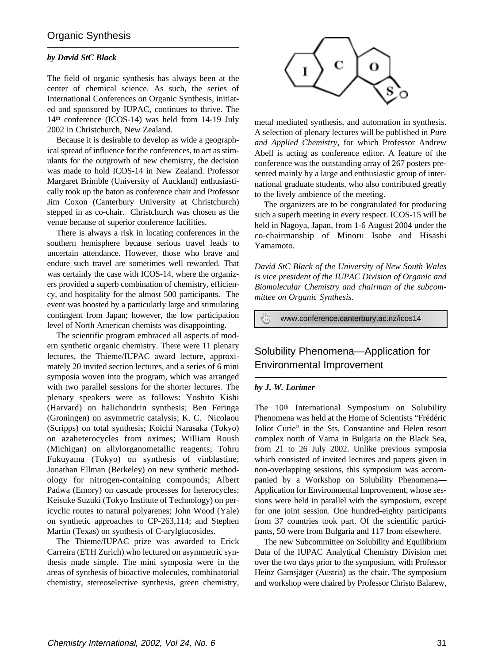#### *by David StC Black*

The field of organic synthesis has always been at the center of chemical science. As such, the series of International Conferences on Organic Synthesis, initiated and sponsored by IUPAC, continues to thrive. The 14th conference (ICOS-14) was held from 14-19 July 2002 in Christchurch, New Zealand.

Because it is desirable to develop as wide a geographical spread of influence for the conferences, to act as stimulants for the outgrowth of new chemistry, the decision was made to hold ICOS-14 in New Zealand. Professor Margaret Brimble (University of Auckland) enthusiastically took up the baton as conference chair and Professor Jim Coxon (Canterbury University at Christchurch) stepped in as co-chair. Christchurch was chosen as the venue because of superior conference facilities.

There is always a risk in locating conferences in the southern hemisphere because serious travel leads to uncertain attendance. However, those who brave and endure such travel are sometimes well rewarded. That was certainly the case with ICOS-14, where the organizers provided a superb combination of chemistry, efficiency, and hospitality for the almost 500 participants. The event was boosted by a particularly large and stimulating contingent from Japan; however, the low participation level of North American chemists was disappointing.

The scientific program embraced all aspects of modern synthetic organic chemistry. There were 11 plenary lectures, the Thieme/IUPAC award lecture, approximately 20 invited section lectures, and a series of 6 mini symposia woven into the program, which was arranged with two parallel sessions for the shorter lectures. The plenary speakers were as follows: Yoshito Kishi (Harvard) on halichondrin synthesis; Ben Feringa (Groningen) on asymmetric catalysis; K. C. Nicolaou (Scripps) on total synthesis; Koichi Narasaka (Tokyo) on azaheterocycles from oximes; William Roush (Michigan) on allylorganometallic reagents; Tohru Fukuyama (Tokyo) on synthesis of vinblastine; Jonathan Ellman (Berkeley) on new synthetic methodology for nitrogen-containing compounds; Albert Padwa (Emory) on cascade processes for heterocycles; Keisuke Suzuki (Tokyo Institute of Technology) on pericyclic routes to natural polyarenes; John Wood (Yale) on synthetic approaches to CP-263,114; and Stephen Martin (Texas) on synthesis of C-arylglucosides.

The Thieme/IUPAC prize was awarded to Erick Carreira (ETH Zurich) who lectured on asymmetric synthesis made simple. The mini symposia were in the areas of synthesis of bioactive molecules, combinatorial chemistry, stereoselective synthesis, green chemistry,



metal mediated synthesis, and automation in synthesis. A selection of plenary lectures will be published in *Pure and Applied Chemistry*, for which Professor Andrew Abell is acting as conference editor. A feature of the conference was the outstanding array of 267 posters presented mainly by a large and enthusiastic group of international graduate students, who also contributed greatly to the lively ambience of the meeting.

The organizers are to be congratulated for producing such a superb meeting in every respect. ICOS-15 will be held in Nagoya, Japan, from 1-6 August 2004 under the co-chairmanship of Minoru Isobe and Hisashi Yamamoto.

*David StC Black of the University of New South Wales is vice president of the IUPAC Division of Organic and Biomolecular Chemistry and chairman of the subcommittee on Organic Synthesis.*

 $\frac{1}{2}$ www.conference.canterbury.ac.nz/icos14

## Solubility Phenomena—Application for Environmental Improvement

#### *by J. W. Lorimer*

The 10th International Symposium on Solubility Phenomena was held at the Home of Scientists "Frédéric Joliot Curie" in the Sts. Constantine and Helen resort complex north of Varna in Bulgaria on the Black Sea, from 21 to 26 July 2002. Unlike previous symposia which consisted of invited lectures and papers given in non-overlapping sessions, this symposium was accompanied by a Workshop on Solubility Phenomena— Application for Environmental Improvement, whose sessions were held in parallel with the symposium, except for one joint session. One hundred-eighty participants from 37 countries took part. Of the scientific participants, 50 were from Bulgaria and 117 from elsewhere.

The new Subcommittee on Solubility and Equilibrium Data of the IUPAC Analytical Chemistry Division met over the two days prior to the symposium, with Professor Heinz Gamsjäger (Austria) as the chair. The symposium and workshop were chaired by Professor Christo Balarew,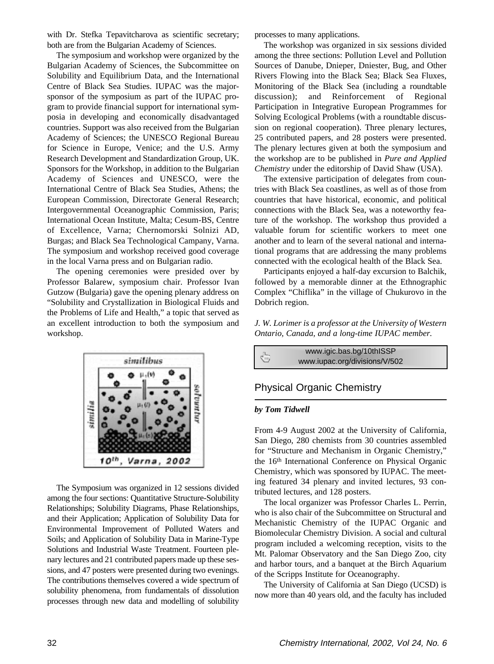with Dr. Stefka Tepavitcharova as scientific secretary; both are from the Bulgarian Academy of Sciences.

The symposium and workshop were organized by the Bulgarian Academy of Sciences, the Subcommittee on Solubility and Equilibrium Data, and the International Centre of Black Sea Studies. IUPAC was the majorsponsor of the symposium as part of the IUPAC program to provide financial support for international symposia in developing and economically disadvantaged countries. Support was also received from the Bulgarian Academy of Sciences; the UNESCO Regional Bureau for Science in Europe, Venice; and the U.S. Army Research Development and Standardization Group, UK. Sponsors for the Workshop, in addition to the Bulgarian Academy of Sciences and UNESCO, were the International Centre of Black Sea Studies, Athens; the European Commission, Directorate General Research; Intergovernmental Oceanographic Commission, Paris; International Ocean Institute, Malta; Cesum-BS, Centre of Excellence, Varna; Chernomorski Solnizi AD, Burgas; and Black Sea Technological Campany, Varna. The symposium and workshop received good coverage in the local Varna press and on Bulgarian radio.

The opening ceremonies were presided over by Professor Balarew, symposium chair. Professor Ivan Gutzow (Bulgaria) gave the opening plenary address on "Solubility and Crystallization in Biological Fluids and the Problems of Life and Health," a topic that served as an excellent introduction to both the symposium and workshop.



The Symposium was organized in 12 sessions divided among the four sections: Quantitative Structure-Solubility Relationships; Solubility Diagrams, Phase Relationships, and their Application; Application of Solubility Data for Environmental Improvement of Polluted Waters and Soils; and Application of Solubility Data in Marine-Type Solutions and Industrial Waste Treatment. Fourteen plenary lectures and 21 contributed papers made up these sessions, and 47 posters were presented during two evenings. The contributions themselves covered a wide spectrum of solubility phenomena, from fundamentals of dissolution processes through new data and modelling of solubility

processes to many applications.

The workshop was organized in six sessions divided among the three sections: Pollution Level and Pollution Sources of Danube, Dnieper, Dniester, Bug, and Other Rivers Flowing into the Black Sea; Black Sea Fluxes, Monitoring of the Black Sea (including a roundtable discussion); and Reinforcement of Regional Participation in Integrative European Programmes for Solving Ecological Problems (with a roundtable discussion on regional cooperation). Three plenary lectures, 25 contributed papers, and 28 posters were presented. The plenary lectures given at both the symposium and the workshop are to be published in *Pure and Applied Chemistry* under the editorship of David Shaw (USA).

The extensive participation of delegates from countries with Black Sea coastlines, as well as of those from countries that have historical, economic, and political connections with the Black Sea, was a noteworthy feature of the workshop. The workshop thus provided a valuable forum for scientific workers to meet one another and to learn of the several national and international programs that are addressing the many problems connected with the ecological health of the Black Sea.

Participants enjoyed a half-day excursion to Balchik, followed by a memorable dinner at the Ethnographic Complex "Chiflika" in the village of Chukurovo in the Dobrich region.

*J. W. Lorimer is a professor at the University of Western Ontario, Canada, and a long-time IUPAC member.*

| ¢b | www.igic.bas.bg/10thISSP      |  |
|----|-------------------------------|--|
|    | www.iupac.org/divisions/V/502 |  |

### Physical Organic Chemistry

#### *by Tom Tidwell*

From 4-9 August 2002 at the University of California, San Diego, 280 chemists from 30 countries assembled for "Structure and Mechanism in Organic Chemistry," the 16th International Conference on Physical Organic Chemistry, which was sponsored by IUPAC. The meeting featured 34 plenary and invited lectures, 93 contributed lectures, and 128 posters.

The local organizer was Professor Charles L. Perrin, who is also chair of the Subcommittee on Structural and Mechanistic Chemistry of the IUPAC Organic and Biomolecular Chemistry Division. A social and cultural program included a welcoming reception, visits to the Mt. Palomar Observatory and the San Diego Zoo, city and harbor tours, and a banquet at the Birch Aquarium of the Scripps Institute for Oceanography.

The University of California at San Diego (UCSD) is now more than 40 years old, and the faculty has included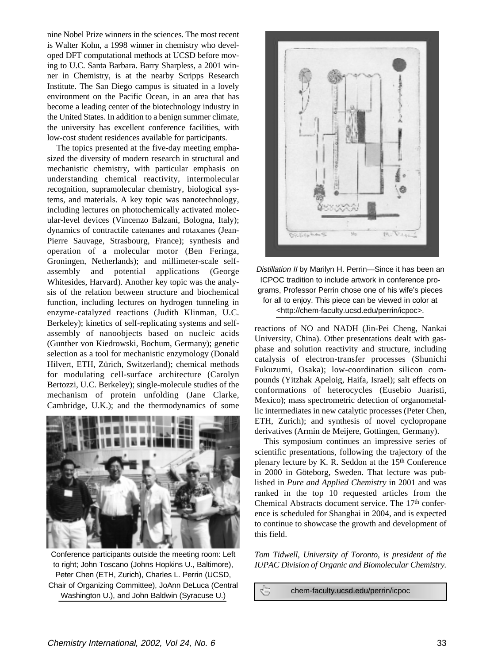nine Nobel Prize winners in the sciences. The most recent is Walter Kohn, a 1998 winner in chemistry who developed DFT computational methods at UCSD before moving to U.C. Santa Barbara. Barry Sharpless, a 2001 winner in Chemistry, is at the nearby Scripps Research Institute. The San Diego campus is situated in a lovely environment on the Pacific Ocean, in an area that has become a leading center of the biotechnology industry in the United States. In addition to a benign summer climate, the university has excellent conference facilities, with low-cost student residences available for participants.

The topics presented at the five-day meeting emphasized the diversity of modern research in structural and mechanistic chemistry, with particular emphasis on understanding chemical reactivity, intermolecular recognition, supramolecular chemistry, biological systems, and materials. A key topic was nanotechnology, including lectures on photochemically activated molecular-level devices (Vincenzo Balzani, Bologna, Italy); dynamics of contractile catenanes and rotaxanes (Jean-Pierre Sauvage, Strasbourg, France); synthesis and operation of a molecular motor (Ben Feringa, Groningen, Netherlands); and millimeter-scale selfassembly and potential applications (George Whitesides, Harvard). Another key topic was the analysis of the relation between structure and biochemical function, including lectures on hydrogen tunneling in enzyme-catalyzed reactions (Judith Klinman, U.C. Berkeley); kinetics of self-replicating systems and selfassembly of nanoobjects based on nucleic acids (Gunther von Kiedrowski, Bochum, Germany); genetic selection as a tool for mechanistic enzymology (Donald Hilvert, ETH, Zürich, Switzerland); chemical methods for modulating cell-surface architecture (Carolyn Bertozzi, U.C. Berkeley); single-molecule studies of the mechanism of protein unfolding (Jane Clarke, Cambridge, U.K.); and the thermodynamics of some



Conference participants outside the meeting room: Left to right; John Toscano (Johns Hopkins U., Baltimore), Peter Chen (ETH, Zurich), Charles L. Perrin (UCSD, Chair of Organizing Committee), JoAnn DeLuca (Central air or Organizing Committee), JoAnn DeLuca (Central execution of chem-faculty.ucsd.edu/perrin/icpoc<br>Washington U.), and John Baldwin (Syracuse U.)



Distillation II by Marilyn H. Perrin—Since it has been an ICPOC tradition to include artwork in conference programs, Professor Perrin chose one of his wife's pieces for all to enjoy. This piece can be viewed in color at <http://chem-faculty.ucsd.edu/perrin/icpoc>.

reactions of NO and NADH (Jin-Pei Cheng, Nankai University, China). Other presentations dealt with gasphase and solution reactivity and structure, including catalysis of electron-transfer processes (Shunichi Fukuzumi, Osaka); low-coordination silicon compounds (Yitzhak Apeloig, Haifa, Israel); salt effects on conformations of heterocycles (Eusebio Juaristi, Mexico); mass spectrometric detection of organometallic intermediates in new catalytic processes (Peter Chen, ETH, Zurich); and synthesis of novel cyclopropane derivatives (Armin de Meijere, Gottingen, Germany).

This symposium continues an impressive series of scientific presentations, following the trajectory of the plenary lecture by K. R. Seddon at the 15th Conference in 2000 in Göteborg, Sweden. That lecture was published in *Pure and Applied Chemistry* in 2001 and was ranked in the top 10 requested articles from the Chemical Abstracts document service. The 17th conference is scheduled for Shanghai in 2004, and is expected to continue to showcase the growth and development of this field.

*Tom Tidwell, University of Toronto, is president of the IUPAC Division of Organic and Biomolecular Chemistry.*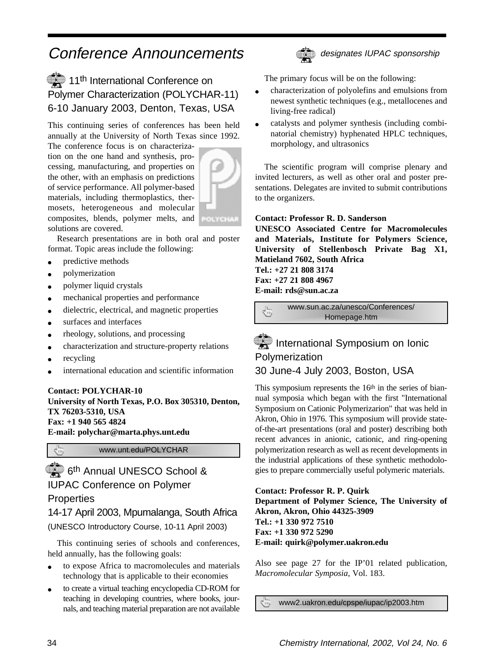## Conference Announcements

11<sup>th</sup> International Conference on Polymer Characterization (POLYCHAR-11) 6-10 January 2003, Denton, Texas, USA

This continuing series of conferences has been held annually at the University of North Texas since 1992.

The conference focus is on characterization on the one hand and synthesis, processing, manufacturing, and properties on the other, with an emphasis on predictions of service performance. All polymer-based materials, including thermoplastics, thermosets, heterogeneous and molecular composites, blends, polymer melts, and solutions are covered.



Research presentations are in both oral and poster format. Topic areas include the following:

- predictive methods
- polymerization
- polymer liquid crystals
- mechanical properties and performance
- dielectric, electrical, and magnetic properties
- surfaces and interfaces
- rheology, solutions, and processing
- characterization and structure-property relations
- recycling
- international education and scientific information

**Contact: POLYCHAR-10 University of North Texas, P.O. Box 305310, Denton, TX 76203-5310, USA Fax: +1 940 565 4824 E-mail: polychar@marta.phys.unt.edu**

www.unt.edu/POLYCHAR

6<sup>th</sup> Annual UNESCO School & IUPAC Conference on Polymer

### **Properties**

¢'n,

14-17 April 2003, Mpumalanga, South Africa (UNESCO Introductory Course, 10-11 April 2003)

This continuing series of schools and conferences, held annually, has the following goals:

- to expose Africa to macromolecules and materials technology that is applicable to their economies
- to create a virtual teaching encyclopedia CD-ROM for teaching in developing countries, where books, journals, and teaching material preparation are not available



### designates IUPAC sponsorship

The primary focus will be on the following:

- characterization of polyolefins and emulsions from newest synthetic techniques (e.g., metallocenes and living-free radical)
- catalysts and polymer synthesis (including combinatorial chemistry) hyphenated HPLC techniques, morphology, and ultrasonics

The scientific program will comprise plenary and invited lecturers, as well as other oral and poster presentations. Delegates are invited to submit contributions to the organizers.

#### **Contact: Professor R. D. Sanderson**

**UNESCO Associated Centre for Macromolecules and Materials, Institute for Polymers Science, University of Stellenbosch Private Bag X1, Matieland 7602, South Africa Tel.: +27 21 808 3174 Fax: +27 21 808 4967 E-mail: rds@sun.ac.za**

www.sun.ac.za/unesco/Conferences/ ďħ Homepage.htm

## International Symposium on Ionic Polymerization

### 30 June-4 July 2003, Boston, USA

This symposium represents the  $16<sup>th</sup>$  in the series of biannual symposia which began with the first "International Symposium on Cationic Polymerizarion" that was held in Akron, Ohio in 1976. This symposium will provide stateof-the-art presentations (oral and poster) describing both recent advances in anionic, cationic, and ring-opening polymerization research as well as recent developments in the industrial applications of these synthetic methodologies to prepare commercially useful polymeric materials.

**Contact: Professor R. P. Quirk Department of Polymer Science, The University of Akron, Akron, Ohio 44325-3909 Tel.: +1 330 972 7510 Fax: +1 330 972 5290 E-mail: quirk@polymer.uakron.edu**

Also see page 27 for the IP'01 related publication, *Macromolecular Symposia*, Vol. 183.

www2.uakron.edu/cpspe/iupac/ip2003.htm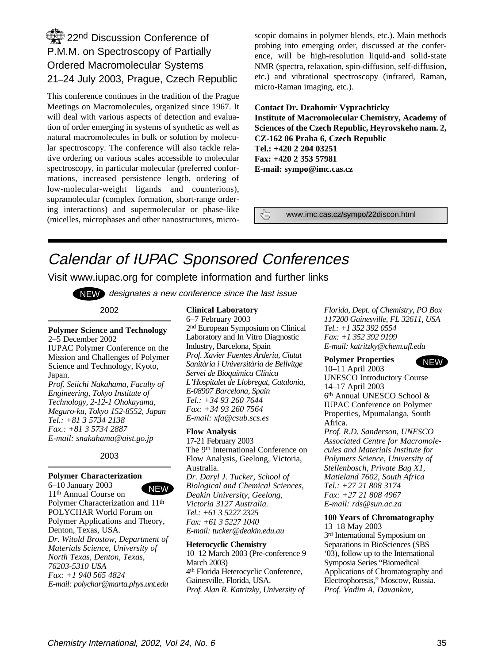## 22nd Discussion Conference of P.M.M. on Spectroscopy of Partially Ordered Macromolecular Systems 21–24 July 2003, Prague, Czech Republic

This conference continues in the tradition of the Prague Meetings on Macromolecules, organized since 1967. It will deal with various aspects of detection and evaluation of order emerging in systems of synthetic as well as natural macromolecules in bulk or solution by molecular spectroscopy. The conference will also tackle relative ordering on various scales accessible to molecular spectroscopy, in particular molecular (preferred conformations, increased persistence length, ordering of low-molecular-weight ligands and counterions), supramolecular (complex formation, short-range ordering interactions) and supermolecular or phase-like (micelles, microphases and other nanostructures, micro-

scopic domains in polymer blends, etc.). Main methods probing into emerging order, discussed at the conference, will be high-resolution liquid-and solid-state NMR (spectra, relaxation, spin-diffusion, self-diffusion, etc.) and vibrational spectroscopy (infrared, Raman, micro-Raman imaging, etc.).

#### **Contact Dr. Drahomir Vyprachticky**

**Institute of Macromolecular Chemistry, Academy of Sciences of the Czech Republic, Heyrovskeho nam. 2, CZ-162 06 Praha 6, Czech Republic Tel.: +420 2 204 03251 Fax: +420 2 353 57981 E-mail: sympo@imc.cas.cz**

√b www.imc.cas.cz/sympo/22discon.html

# Calendar of IUPAC Sponsored Conferences

Visit www.iupac.org for complete information and further links

NEW designates a new conference since the last issue

2002

#### **Polymer Science and Technology** 2–5 December 2002 IUPAC Polymer Conference on the Mission and Challenges of Polymer Science and Technology, Kyoto, Japan.

*Prof. Seiichi Nakahama, Faculty of Engineering, Tokyo Institute of Technology, 2-12-1 Ohokayama, Meguro-ku, Tokyo 152-8552, Japan Tel.: +81 3 5734 2138 Fax.: +81 3 5734 2887 E-mail: snakahama@aist.go.jp*

2003

#### **Polymer Characterization**

6–10 January 2003 11th Annual Course on Polymer Characterization and 11th POLYCHAR World Forum on Polymer Applications and Theory, Denton, Texas, USA. *Dr. Witold Brostow, Department of Materials Science, University of North Texas, Denton, Texas, 76203-5310 USA Fax: +1 940 565 4824 E-mail: polychar@marta.phys.unt.edu* NEW

#### **Clinical Laboratory**

6–7 February 2003 2nd European Symposium on Clinical Laboratory and In Vitro Diagnostic Industry, Barcelona, Spain *Prof. Xavier Fuentes Arderiu, Ciutat Sanitària i Universitària de Bellvitge Servei de Bioquímica Clínica L'Hospitalet de Llobregat, Catalonia, E-08907 Barcelona, Spain Tel.: +34 93 260 7644 Fax: +34 93 260 7564 E-mail: xfa@csub.scs.es*

#### **Flow Analysis**

17-21 February 2003 The 9th International Conference on Flow Analysis, Geelong, Victoria, Australia.

*Dr. Daryl J. Tucker, School of Biological and Chemical Sciences, Deakin University, Geelong, Victoria 3127 Australia. Tel.: +61 3 5227 2325 Fax: +61 3 5227 1040 E-mail: tucker@deakin.edu.au*

#### **Heterocyclic Chemistry**

10–12 March 2003 (Pre-conference 9 March 2003) 4th Florida Heterocyclic Conference, Gainesville, Florida, USA. *Prof. Alan R. Katritzky, University of*

*Florida, Dept. of Chemistry, PO Box 117200 Gainesville, FL 32611, USA Tel.: +1 352 392 0554 Fax: +1 352 392 9199 E-mail: katritzky@chem.ufl.edu*

**Polymer Properties** 



10–11 April 2003 UNESCO Introductory Course 14–17 April 2003 6th Annual UNESCO School & IUPAC Conference on Polymer Properties, Mpumalanga, South Africa. *Prof. R.D. Sanderson, UNESCO Associated Centre for Macromolecules and Materials Institute for Polymers Science, University of Stellenbosch, Private Bag X1, Matieland 7602, South Africa Tel.: +27 21 808 3174 Fax: +27 21 808 4967 E-mail: rds@sun.ac.za*

#### **100 Years of Chromatography**

13–18 May 2003 3rd International Symposium on Separations in BioSciences (SBS '03), follow up to the International Symposia Series "Biomedical Applications of Chromatography and Electrophoresis," Moscow, Russia. *Prof. Vadim A. Davankov,*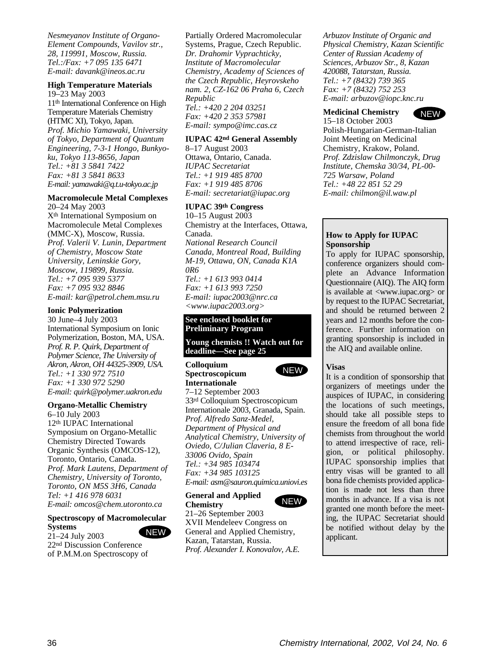*Nesmeyanov Institute of Organo-Element Compounds, Vavilov str., 28, 119991, Moscow, Russia. Tel.:/Fax: +7 095 135 6471 E-mail: davank@ineos.ac.ru*

#### **High Temperature Materials**

19–23 May 2003 11th International Conference on High Temperature Materials Chemistry (HTMC XI), Tokyo, Japan. *Prof. Michio Yamawaki, University of Tokyo, Department of Quantum Engineering, 7-3-1 Hongo, Bunkyoku, Tokyo 113-8656, Japan Tel.: +81 3 5841 7422 Fax: +81 3 5841 8633 E-mail: yamawaki@q.t.u-tokyo.ac.jp* 

#### **Macromolecule Metal Complexes**

20–24 May 2003 Xth International Symposium on Macromolecule Metal Complexes (MMC-X), Moscow, Russia. *Prof. Valerii V. Lunin, Department of Chemistry, Moscow State University, Leninskie Gory, Moscow, 119899, Russia. Tel.: +7 095 939 5377 Fax: +7 095 932 8846 E-mail: kar@petrol.chem.msu.ru*

#### **Ionic Polymerization**

30 June–4 July 2003 International Symposium on Ionic Polymerization, Boston, MA, USA. *Prof. R. P. Quirk, Department of Polymer Science, The University of Akron, Akron, OH 44325-3909, USA. Tel.: +1 330 972 7510 Fax: +1 330 972 5290 E-mail: quirk@polymer.uakron.edu*

#### **Organo-Metallic Chemistry**

6–10 July 2003 12th IUPAC International Symposium on Organo-Metallic Chemistry Directed Towards Organic Synthesis (OMCOS-12), Toronto, Ontario, Canada. *Prof. Mark Lautens, Department of Chemistry, University of Toronto, Toronto, ON M5S 3H6, Canada Tel: +1 416 978 6031 E-mail: omcos@chem.utoronto.ca*

**Spectroscopy of Macromolecular Systems**  21–24 July 2003 NEW

22nd Discussion Conference of P.M.M.on Spectroscopy of Partially Ordered Macromolecular Systems, Prague, Czech Republic. *Dr. Drahomir Vyprachticky, Institute of Macromolecular Chemistry, Academy of Sciences of the Czech Republic, Heyrovskeho nam. 2, CZ-162 06 Praha 6, Czech Republic Tel.: +420 2 204 03251 Fax: +420 2 353 57981 E-mail: sympo@imc.cas.cz*

### **IUPAC 42nd General Assembly**

8–17 August 2003 Ottawa, Ontario, Canada. *IUPAC Secretariat Tel.: +1 919 485 8700 Fax: +1 919 485 8706 E-mail: secretariat@iupac.org*

#### **IUPAC 39th Congress**

10–15 August 2003 Chemistry at the Interfaces, Ottawa, Canada. *National Research Council Canada, Montreal Road, Building M-19, Ottawa, ON, Canada K1A 0R6 Tel.: +1 613 993 0414 Fax: +1 613 993 7250 E-mail: iupac2003@nrc.ca <www.iupac2003.org>*

#### **See enclosed booklet for Preliminary Program**

**Young chemists !! Watch out for deadline—See page 25**

#### **Colloquium**



**Spectroscopicum Internationale** 7–12 September 2003 33rd Colloquium Spectroscopicum Internationale 2003, Granada, Spain. *Prof. Alfredo Sanz-Medel, Department of Physical and Analytical Chemistry, University of Oviedo, C/Julian Claveria, 8 E-33006 Ovido, Spain Tel.: +34 985 103474 Fax: +34 985 103125 E-mail: asm@sauron.quimica.uniovi.es*

#### **General and Applied Chemistry**



21–26 September 2003 XVII Mendeleev Congress on General and Applied Chemistry, Kazan, Tatarstan, Russia. *Prof. Alexander I. Konovalov, A.E.* *Arbuzov Institute of Organic and Physical Chemistry, Kazan Scientific Center of Russian Academy of Sciences, Arbuzov Str., 8, Kazan 420088, Tatarstan, Russia. Tel.: +7 (8432) 739 365 Fax: +7 (8432) 752 253 E-mail: arbuzov@iopc.knc.ru*

#### **Medicinal Chemistry**



15–18 October 2003 Polish-Hungarian-German-Italian Joint Meeting on Medicinal Chemistry, Krakow, Poland. *Prof. Zdzislaw Chilmonczyk, Drug Institute, Chemska 30/34, PL-00- 725 Warsaw, Poland Tel.: +48 22 851 52 29 E-mail: chilmon@il.waw.pl*

#### **How to Apply for IUPAC Sponsorship**

To apply for IUPAC sponsorship, conference organizers should complete an Advance Information Questionnaire (AIQ). The AIQ form is available at <www.iupac.org> or by request to the IUPAC Secretariat, and should be returned between 2 years and 12 months before the conference. Further information on granting sponsorship is included in the AIQ and available online.

#### **Visas**

It is a condition of sponsorship that organizers of meetings under the auspices of IUPAC, in considering the locations of such meetings, should take all possible steps to ensure the freedom of all bona fide chemists from throughout the world to attend irrespective of race, religion, or political philosophy. IUPAC sponsorship implies that entry visas will be granted to all bona fide chemists provided application is made not less than three months in advance. If a visa is not granted one month before the meeting, the IUPAC Secretariat should be notified without delay by the applicant.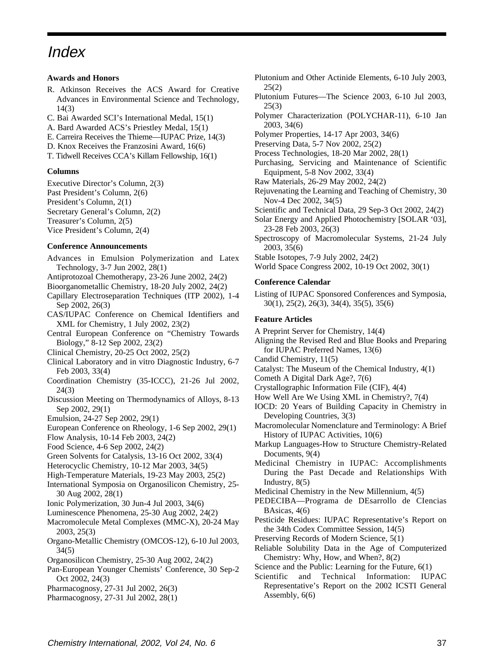## **Index**

#### **Awards and Honors**

- R. Atkinson Receives the ACS Award for Creative Advances in Environmental Science and Technology, 14(3)
- C. Bai Awarded SCI's International Medal, 15(1)
- A. Bard Awarded ACS's Priestley Medal, 15(1)
- E. Carreira Receives the Thieme—IUPAC Prize, 14(3)
- D. Knox Receives the Franzosini Award, 16(6)
- T. Tidwell Receives CCA's Killam Fellowship, 16(1)

#### **Columns**

Executive Director's Column, 2(3) Past President's Column, 2(6) President's Column, 2(1) Secretary General's Column, 2(2) Treasurer's Column, 2(5) Vice President's Column, 2(4)

#### **Conference Announcements**

- Advances in Emulsion Polymerization and Latex Technology, 3-7 Jun 2002, 28(1)
- Antiprotozoal Chemotherapy, 23-26 June 2002, 24(2)
- Bioorganometallic Chemistry, 18-20 July 2002, 24(2)
- Capillary Electroseparation Techniques (ITP 2002), 1-4 Sep 2002, 26(3)
- CAS/IUPAC Conference on Chemical Identifiers and XML for Chemistry, 1 July 2002, 23(2)
- Central European Conference on "Chemistry Towards Biology," 8-12 Sep 2002, 23(2)
- Clinical Chemistry, 20-25 Oct 2002, 25(2)
- Clinical Laboratory and in vitro Diagnostic Industry, 6-7 Feb 2003, 33(4)
- Coordination Chemistry (35-ICCC), 21-26 Jul 2002, 24(3)
- Discussion Meeting on Thermodynamics of Alloys, 8-13 Sep 2002, 29(1)
- Emulsion, 24-27 Sep 2002, 29(1)
- European Conference on Rheology, 1-6 Sep 2002, 29(1)
- Flow Analysis, 10-14 Feb 2003, 24(2)
- Food Science, 4-6 Sep 2002, 24(2)
- Green Solvents for Catalysis, 13-16 Oct 2002, 33(4)
- Heterocyclic Chemistry, 10-12 Mar 2003, 34(5)
- High-Temperature Materials, 19-23 May 2003, 25(2)
- International Symposia on Organosilicon Chemistry, 25- 30 Aug 2002, 28(1)
- Ionic Polymerization, 30 Jun-4 Jul 2003, 34(6)
- Luminescence Phenomena, 25-30 Aug 2002, 24(2)
- Macromolecule Metal Complexes (MMC-X), 20-24 May 2003, 25(3)
- Organo-Metallic Chemistry (OMCOS-12), 6-10 Jul 2003, 34(5)
- Organosilicon Chemistry, 25-30 Aug 2002, 24(2)
- Pan-European Younger Chemists' Conference, 30 Sep-2 Oct 2002, 24(3)
- Pharmacognosy, 27-31 Jul 2002, 26(3)
- Pharmacognosy, 27-31 Jul 2002, 28(1)
- Plutonium and Other Actinide Elements, 6-10 July 2003, 25(2)
- Plutonium Futures—The Science 2003, 6-10 Jul 2003, 25(3)
- Polymer Characterization (POLYCHAR-11), 6-10 Jan 2003, 34(6)
- Polymer Properties, 14-17 Apr 2003, 34(6)
- Preserving Data, 5-7 Nov 2002, 25(2)
- Process Technologies, 18-20 Mar 2002, 28(1)
- Purchasing, Servicing and Maintenance of Scientific Equipment, 5-8 Nov 2002, 33(4)
- Raw Materials, 26-29 May 2002, 24(2)
- Rejuvenating the Learning and Teaching of Chemistry, 30 Nov-4 Dec 2002, 34(5)
- Scientific and Technical Data, 29 Sep-3 Oct 2002, 24(2)
- Solar Energy and Applied Photochemistry [SOLAR '03], 23-28 Feb 2003, 26(3)
- Spectroscopy of Macromolecular Systems, 21-24 July 2003, 35(6)
- Stable Isotopes, 7-9 July 2002, 24(2)
- World Space Congress 2002, 10-19 Oct 2002, 30(1)

#### **Conference Calendar**

Listing of IUPAC Sponsored Conferences and Symposia, 30(1), 25(2), 26(3), 34(4), 35(5), 35(6)

#### **Feature Articles**

- A Preprint Server for Chemistry, 14(4)
- Aligning the Revised Red and Blue Books and Preparing for IUPAC Preferred Names, 13(6)
- Candid Chemistry, 11(5)
- Catalyst: The Museum of the Chemical Industry, 4(1)
- Cometh A Digital Dark Age?, 7(6)
- Crystallographic Information File (CIF), 4(4)
- How Well Are We Using XML in Chemistry?, 7(4)
- IOCD: 20 Years of Building Capacity in Chemistry in Developing Countries, 3(3)
- Macromolecular Nomenclature and Terminology: A Brief History of IUPAC Activities, 10(6)
- Markup Languages-How to Structure Chemistry-Related Documents, 9(4)
- Medicinal Chemistry in IUPAC: Accomplishments During the Past Decade and Relationships With Industry, 8(5)
- Medicinal Chemistry in the New Millennium, 4(5)
- PEDECIBA—Programa de DEsarrollo de CIencias BAsicas, 4(6)
- Pesticide Residues: IUPAC Representative's Report on the 34th Codex Committee Session, 14(5)
- Preserving Records of Modern Science, 5(1)
- Reliable Solubility Data in the Age of Computerized Chemistry: Why, How, and When?, 8(2)
- Science and the Public: Learning for the Future, 6(1)
- Scientific and Technical Information: IUPAC Representative's Report on the 2002 ICSTI General Assembly, 6(6)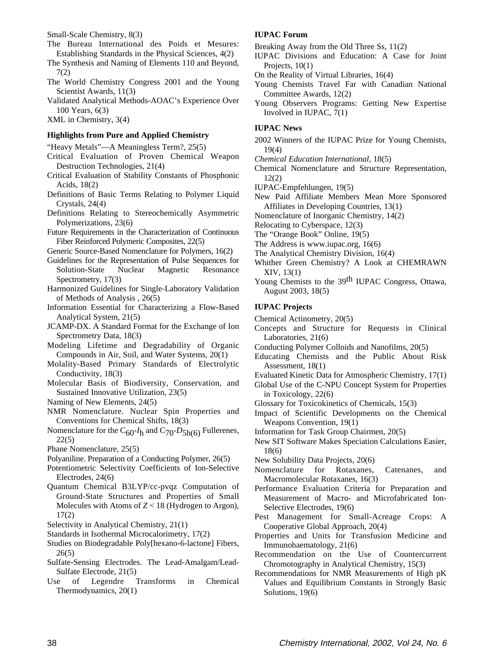- The Bureau International des Poids et Mesures: Establishing Standards in the Physical Sciences, 4(2)
- The Synthesis and Naming of Elements 110 and Beyond, 7(2)
- The World Chemistry Congress 2001 and the Young Scientist Awards, 11(3)
- Validated Analytical Methods-AOAC's Experience Over 100 Years, 6(3)

XML in Chemistry, 3(4)

#### **Highlights from Pure and Applied Chemistry**

- "Heavy Metals"—A Meaningless Term?, 25(5)
- Critical Evaluation of Proven Chemical Weapon Destruction Technologies, 21(4)
- Critical Evaluation of Stability Constants of Phosphonic Acids, 18(2)
- Definitions of Basic Terms Relating to Polymer Liquid Crystals, 24(4)
- Definitions Relating to Stereochemically Asymmetric Polymerizations, 23(6)
- Future Requirements in the Characterization of Continuous Fiber Reinforced Polymeric Composites, 22(5)
- Generic Source-Based Nomenclature for Polymers, 16(2)
- Guidelines for the Representation of Pulse Sequences for Solution-State Nuclear Magnetic Resonance Spectrometry, 17(3)
- Harmonized Guidelines for Single-Laboratory Validation of Methods of Analysis , 26(5)
- Information Essential for Characterizing a Flow-Based Analytical System, 21(5)
- JCAMP-DX. A Standard Format for the Exchange of Ion Spectrometry Data, 18(3)
- Modeling Lifetime and Degradability of Organic Compounds in Air, Soil, and Water Systems, 20(1)
- Molality-Based Primary Standards of Electrolytic Conductivity, 18(3)
- Molecular Basis of Biodiversity, Conservation, and Sustained Innovative Utilization, 23(5)
- Naming of New Elements, 24(5)
- NMR Nomenclature. Nuclear Spin Properties and Conventions for Chemical Shifts, 18(3)
- Nomenclature for the  $C_{60}$ - $I_h$  and  $C_{70}$ - $D_{5h(6)}$  Fullerenes, 22(5)
- Phane Nomenclature, 25(5)
- Polyaniline. Preparation of a Conducting Polymer, 26(5)
- Potentiometric Selectivity Coefficients of Ion-Selective Electrodes, 24(6)
- Quantum Chemical B3LYP/cc-pvqz Computation of Ground-State Structures and Properties of Small Molecules with Atoms of *Z* < 18 (Hydrogen to Argon), 17(2)
- Selectivity in Analytical Chemistry, 21(1)
- Standards in Isothermal Microcalorimetry, 17(2)
- Studies on Biodegradable Poly[hexano-6-lactone] Fibers, 26(5)
- Sulfate-Sensing Electrodes. The Lead-Amalgam/Lead-Sulfate Electrode, 21(5)
- Use of Legendre Transforms in Chemical Thermodynamics, 20(1)

#### **IUPAC Forum**

- Breaking Away from the Old Three Ss, 11(2)
- IUPAC Divisions and Education: A Case for Joint Projects,  $10(1)$
- On the Reality of Virtual Libraries, 16(4)
- Young Chemists Travel Far with Canadian National Committee Awards, 12(2)
- Young Observers Programs: Getting New Expertise Involved in IUPAC, 7(1)

#### **IUPAC News**

- 2002 Winners of the IUPAC Prize for Young Chemists, 19(4)
- *Chemical Education International*, 18(5)
- Chemical Nomenclature and Structure Representation, 12(2)
- IUPAC-Empfehlungen, 19(5)
- New Paid Affiliate Members Mean More Sponsored Affiliates in Developing Countries, 13(1)
- Nomenclature of Inorganic Chemistry, 14(2)
- Relocating to Cyberspace, 12(3)
- The "Orange Book" Online, 19(5)
- The Address is www.iupac.org, 16(6)
- The Analytical Chemistry Division, 16(4)
- Whither Green Chemistry? A Look at CHEMRAWN XIV, 13(1)
- Young Chemists to the 39<sup>th</sup> IUPAC Congress, Ottawa, August 2003, 18(5)

#### **IUPAC Projects**

- Chemical Actinometry, 20(5)
- Concepts and Structure for Requests in Clinical Laboratories, 21(6)
- Conducting Polymer Colloids and Nanofilms, 20(5)
- Educating Chemists and the Public About Risk Assessment, 18(1)
- Evaluated Kinetic Data for Atmospheric Chemistry, 17(1)
- Global Use of the C-NPU Concept System for Properties in Toxicology, 22(6)
- Glossary for Toxicokinetics of Chemicals, 15(3)
- Impact of Scientific Developments on the Chemical Weapons Convention, 19(1)
- Information for Task Group Chairmen, 20(5)
- New SIT Software Makes Speciation Calculations Easier, 18(6)
- New Solubility Data Projects, 20(6)
- Nomenclature for Rotaxanes, Catenanes, and Macromolecular Rotaxanes, 16(3)
- Performance Evaluation Criteria for Preparation and Measurement of Macro- and Microfabricated Ion-Selective Electrodes, 19(6)
- Pest Management for Small-Acreage Crops: A Cooperative Global Approach, 20(4)
- Properties and Units for Transfusion Medicine and Immunohaematology, 21(6)
- Recommendation on the Use of Countercurrent Chromotography in Analytical Chemistry, 15(3)
- Recommendations for NMR Measurements of High pK Values and Equilibrium Constants in Strongly Basic Solutions, 19(6)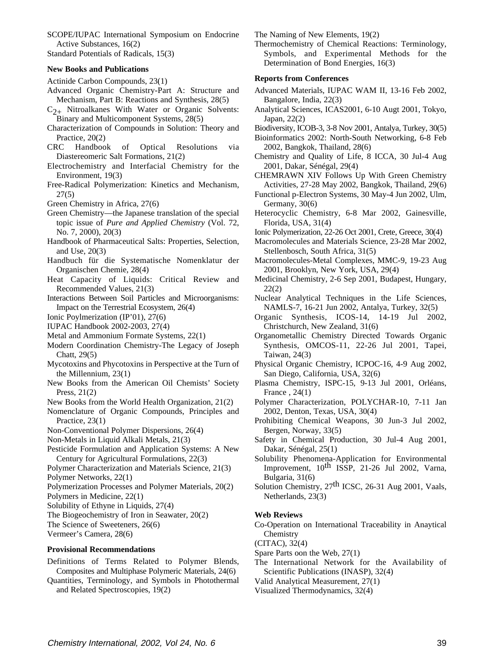SCOPE/IUPAC International Symposium on Endocrine Active Substances, 16(2)

Standard Potentials of Radicals, 15(3)

#### **New Books and Publications**

- Actinide Carbon Compounds, 23(1)
- Advanced Organic Chemistry-Part A: Structure and Mechanism, Part B: Reactions and Synthesis, 28(5)
- $C_{2+}$  Nitroalkanes With Water or Organic Solvents: Binary and Multicomponent Systems, 28(5)
- Characterization of Compounds in Solution: Theory and Practice, 20(2)
- CRC Handbook of Optical Resolutions via Diastereomeric Salt Formations, 21(2)
- Electrochemistry and Interfacial Chemistry for the Environment, 19(3)
- Free-Radical Polymerization: Kinetics and Mechanism, 27(5)
- Green Chemistry in Africa, 27(6)
- Green Chemistry—the Japanese translation of the special topic issue of *Pure and Applied Chemistry* (Vol. 72, No. 7, 2000), 20(3)
- Handbook of Pharmaceutical Salts: Properties, Selection, and Use, 20(3)
- Handbuch für die Systematische Nomenklatur der Organischen Chemie, 28(4)
- Heat Capacity of Liquids: Critical Review and Recommended Values, 21(3)
- Interactions Between Soil Particles and Microorganisms: Impact on the Terrestrial Ecosystem, 26(4)
- Ionic Poylmerization (IP'01), 27(6)
- IUPAC Handbook 2002-2003, 27(4)
- Metal and Ammonium Formate Systems, 22(1)
- Modern Coordination Chemistry-The Legacy of Joseph Chatt, 29(5)
- Mycotoxins and Phycotoxins in Perspective at the Turn of the Millennium, 23(1)
- New Books from the American Oil Chemists' Society Press, 21(2)
- New Books from the World Health Organization, 21(2)
- Nomenclature of Organic Compounds, Principles and Practice, 23(1)
- Non-Conventional Polymer Dispersions, 26(4)
- Non-Metals in Liquid Alkali Metals, 21(3)
- Pesticide Formulation and Application Systems: A New Century for Agricultural Formulations, 22(3)
- Polymer Characterization and Materials Science, 21(3) Polymer Networks, 22(1)
- Polymerization Processes and Polymer Materials, 20(2)
- Polymers in Medicine, 22(1)
- Solubility of Ethyne in Liquids, 27(4)
- The Biogeochemistry of Iron in Seawater, 20(2)
- The Science of Sweeteners, 26(6)
- Vermeer's Camera, 28(6)

#### **Provisional Recommendations**

- Definitions of Terms Related to Polymer Blends, Composites and Multiphase Polymeric Materials, 24(6)
- Quantities, Terminology, and Symbols in Photothermal and Related Spectroscopies, 19(2)

The Naming of New Elements, 19(2)

Thermochemistry of Chemical Reactions: Terminology, Symbols, and Experimental Methods for the Determination of Bond Energies, 16(3)

#### **Reports from Conferences**

- Advanced Materials, IUPAC WAM II, 13-16 Feb 2002, Bangalore, India, 22(3)
- Analytical Sciences, ICAS2001, 6-10 Augt 2001, Tokyo, Japan, 22(2)
- Biodiversity, ICOB-3, 3-8 Nov 2001, Antalya, Turkey, 30(5)
- Bioinformatics 2002: North-South Networking, 6-8 Feb 2002, Bangkok, Thailand, 28(6)
- Chemistry and Quality of Life, 8 ICCA, 30 Jul-4 Aug 2001, Dakar, Sénégal, 29(4)
- CHEMRAWN XIV Follows Up With Green Chemistry Activities, 27-28 May 2002, Bangkok, Thailand, 29(6)
- Functional p-Electron Systems, 30 May-4 Jun 2002, Ulm, Germany, 30(6)
- Heterocyclic Chemistry, 6-8 Mar 2002, Gainesville, Florida, USA, 31(4)
- Ionic Polymerization, 22-26 Oct 2001, Crete, Greece, 30(4)
- Macromolecules and Materials Science, 23-28 Mar 2002, Stellenbosch, South Africa, 31(5)
- Macromolecules-Metal Complexes, MMC-9, 19-23 Aug 2001, Brooklyn, New York, USA, 29(4)
- Medicinal Chemistry, 2-6 Sep 2001, Budapest, Hungary, 22(2)
- Nuclear Analytical Techniques in the Life Sciences, NAMLS-7, 16-21 Jun 2002, Antalya, Turkey, 32(5)
- Organic Synthesis, ICOS-14, 14-19 Jul 2002, Christchurch, New Zealand, 31(6)
- Organometallic Chemistry Directed Towards Organic Synthesis, OMCOS-11, 22-26 Jul 2001, Tapei, Taiwan, 24(3)
- Physical Organic Chemistry, ICPOC-16, 4-9 Aug 2002, San Diego, California, USA, 32(6)
- Plasma Chemistry, ISPC-15, 9-13 Jul 2001, Orléans, France , 24(1)
- Polymer Characterization, POLYCHAR-10, 7-11 Jan 2002, Denton, Texas, USA, 30(4)
- Prohibiting Chemical Weapons, 30 Jun-3 Jul 2002, Bergen, Norway, 33(5)
- Safety in Chemical Production, 30 Jul-4 Aug 2001, Dakar, Sénégal, 25(1)
- Solubility Phenomena-Application for Environmental Improvement, 10th ISSP, 21-26 Jul 2002, Varna, Bulgaria, 31(6)
- Solution Chemistry,  $27<sup>th</sup>$  ICSC, 26-31 Aug 2001, Vaals, Netherlands, 23(3)

#### **Web Reviews**

Co-Operation on International Traceability in Anaytical Chemistry

(CITAC), 32(4)

- Spare Parts oon the Web, 27(1)
- The International Network for the Availability of Scientific Publications (INASP), 32(4)
- Valid Analytical Measurement, 27(1)
- Visualized Thermodynamics, 32(4)